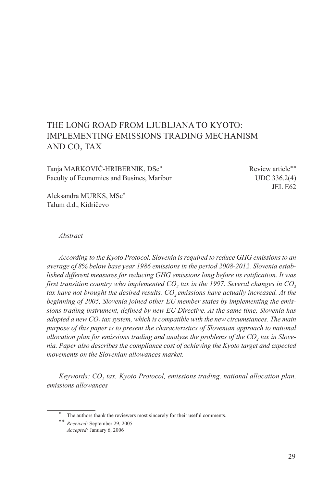# THE LONG ROAD FROM LJUBLJANA TO KYOTO: IMPLEMENTING EMISSIONS TRADING MECHANISM AND CO<sub>2</sub> TAX

Tanja MARKOVIČ-HRIBERNIK, DSc<sup>\*</sup> Review article<sup>\*\*</sup> Faculty of Economics and Busines, Maribor UDC 336.2(4)

JEL E62

Aleksandra MURKS, MSc\* Talum d.d., Kidričevo

#### *Abstract*

*According to the Kyoto Protocol, Slovenia is required to reduce GHG emissions to an average of 8% below base year 1986 emissions in the period 2008-2012. Slovenia established different measures for reducing GHG emissions long before its ratification. It was first transition country who implemented CO<sub>2</sub> tax in the 1997. Several changes in CO<sub>2</sub>* tax have not brought the desired results. CO<sub>2</sub> emissions have actually increased. At the *beginning of 2005, Slovenia joined other EU member states by implementing the emissions trading instrument, defined by new EU Directive. At the same time, Slovenia has adopted a new CO<sub>2</sub> tax system, which is compatible with the new circumstances. The main purpose of this paper is to present the characteristics of Slovenian approach to national*  allocation plan for emissions trading and analyze the problems of the CO<sub>2</sub> tax in Slove*nia. Paper also describes the compliance cost of achieving the Kyoto target and expected movements on the Slovenian allowances market.*

*Keywords: CO<sub>2</sub> tax, Kyoto Protocol, emissions trading, national allocation plan, emissions allowances*

The authors thank the reviewers most sincerely for their useful comments.

<sup>\*\*</sup> *Received:* September 29, 2005 *Accepted:* January 6, 2006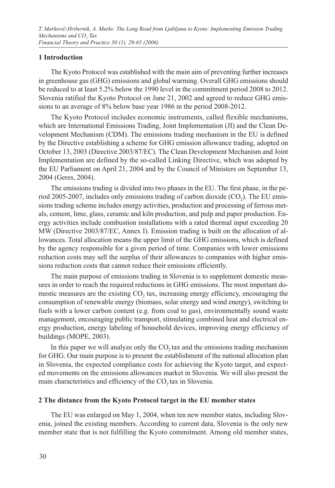# **1 Introduction**

The Kyoto Protocol was established with the main aim of preventing further increases in greenhouse gas (GHG) emissions and global warming. Overall GHG emissions should be reduced to at least 5.2% below the 1990 level in the commitment period 2008 to 2012. Slovenia ratified the Kyoto Protocol on June 21, 2002 and agreed to reduce GHG emissions to an average of 8% below base year 1986 in the period 2008-2012.

The Kyoto Protocol includes economic instruments, called flexible mechanisms, which are International Emissions Trading, Joint Implementation (JI) and the Clean Development Mechanism (CDM). The emissions trading mechanism in the EU is defined by the Directive establishing a scheme for GHG emission allowance trading, adopted on October 13, 2003 (Directive 2003/87/EC). The Clean Development Mechanism and Joint Implementation are defined by the so-called Linking Directive, which was adopted by the EU Parliament on April 21, 2004 and by the Council of Ministers on September 13, 2004 (Geres, 2004).

The emissions trading is divided into two phases in the EU. The first phase, in the period 2005-2007, includes only emissions trading of carbon dioxide  $(CO<sub>2</sub>)$ . The EU emissions trading scheme includes energy activities, production and processing of ferrous metals, cement, lime, glass, ceramic and kiln production, and pulp and paper production. Energy activities include combustion installations with a rated thermal input exceeding 20 MW (Directive 2003/87/EC, Annex I). Emission trading is built on the allocation of allowances. Total allocation means the upper limit of the GHG emissions, which is defined by the agency responsible for a given period of time. Companies with lower emissions reduction costs may sell the surplus of their allowances to companies with higher emissions reduction costs that cannot reduce their emissions efficiently.

The main purpose of emissions trading in Slovenia is to supplement domestic measures in order to reach the required reductions in GHG emissions. The most important domestic measures are the existing CO<sub>2</sub> tax, increasing energy efficiency, encouraging the consumption of renewable energy (biomass, solar energy and wind energy), switching to fuels with a lower carbon content (e.g. from coal to gas), environmentally sound waste management, encouraging public transport, stimulating combined heat and electrical energy production, energy labeling of household devices, improving energy efficiency of buildings (MOPE, 2003).

In this paper we will analyze only the  $CO<sub>2</sub>$  tax and the emissions trading mechanism for GHG. Our main purpose is to present the establishment of the national allocation plan in Slovenia, the expected compliance costs for achieving the Kyoto target, and expected movements on the emissions allowances market in Slovenia. We will also present the main characteristics and efficiency of the  $CO<sub>2</sub>$  tax in Slovenia.

# **2 The distance from the Kyoto Protocol target in the EU member states**

The EU was enlarged on May 1, 2004, when ten new member states, including Slovenia, joined the existing members. According to current data, Slovenia is the only new member state that is not fulfilling the Kyoto commitment. Among old member states,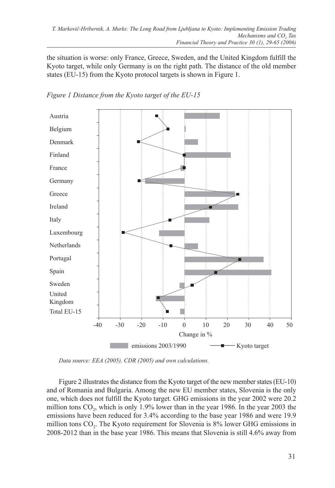the situation is worse: only France, Greece, Sweden, and the United Kingdom fulfill the Kyoto target, while only Germany is on the right path. The distance of the old member states (EU-15) from the Kyoto protocol targets is shown in Figure 1.





*Data source: EEA (2005), CDR (2005) and own calculations.*

Figure 2 illustrates the distance from the Kyoto target of the new member states (EU-10) and of Romania and Bulgaria. Among the new EU member states, Slovenia is the only one, which does not fulfill the Kyoto target. GHG emissions in the year 2002 were 20.2 million tons  $CO<sub>2</sub>$ , which is only  $1.9\%$  lower than in the year 1986. In the year 2003 the emissions have been reduced for 3.4% according to the base year 1986 and were 19.9 million tons  $CO<sub>2</sub>$ . The Kyoto requirement for Slovenia is  $8\%$  lower GHG emissions in 2008-2012 than in the base year 1986. This means that Slovenia is still 4.6% away from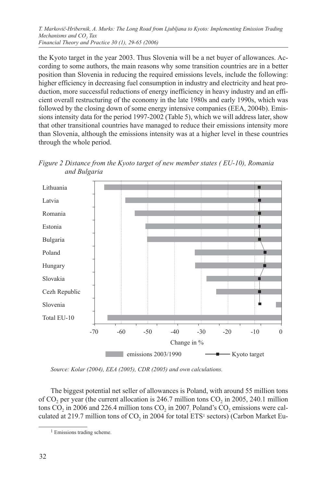the Kyoto target in the year 2003. Thus Slovenia will be a net buyer of allowances. According to some authors, the main reasons why some transition countries are in a better position than Slovenia in reducing the required emissions levels, include the following: higher efficiency in decreasing fuel consumption in industry and electricity and heat production, more successful reductions of energy inefficiency in heavy industry and an efficient overall restructuring of the economy in the late 1980s and early 1990s, which was followed by the closing down of some energy intensive companies (EEA, 2004b). Emissions intensity data for the period 1997-2002 (Table 5), which we will address later, show that other transitional countries have managed to reduce their emissions intensity more than Slovenia, although the emissions intensity was at a higher level in these countries through the whole period.





*Source: Kolar (2004), EEA (2005), CDR (2005) and own calculations.*

The biggest potential net seller of allowances is Poland, with around 55 million tons of  $CO<sub>2</sub>$  per year (the current allocation is 246.7 million tons  $CO<sub>2</sub>$  in 2005, 240.1 million tons  $CO_2$  in 2006 and 226.4 million tons  $CO_2$  in 2007<sub>;</sub> Poland's  $CO_2$  emissions were calculated at 219.7 million tons of  $CO<sub>2</sub>$  in 2004 for total ETS<sup>1</sup> sectors) (Carbon Market Eu-

<sup>&</sup>lt;sup>1</sup> Emissions trading scheme.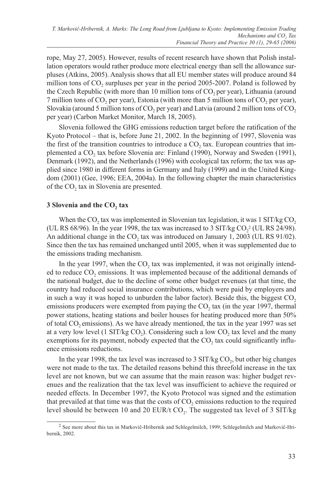rope, May 27, 2005). However, results of recent research have shown that Polish installation operators would rather produce more electrical energy than sell the allowance surpluses (Atkins, 2005). Analysis shows that all EU member states will produce around 84 million tons of CO<sub>2</sub> surpluses per year in the period 2005-2007. Poland is followed by the Czech Republic (with more than 10 million tons of  $CO<sub>2</sub>$  per year), Lithuania (around  $7$  million tons of CO<sub>2</sub> per year), Estonia (with more than  $5$  million tons of CO<sub>2</sub> per year), Slovakia (around 5 million tons of  $CO<sub>2</sub>$  per year) and Latvia (around 2 million tons of  $CO<sub>2</sub>$ per year) (Carbon Market Monitor, March 18, 2005).

Slovenia followed the GHG emissions reduction target before the ratification of the Kyoto Protocol – that is, before June 21, 2002. In the beginning of 1997, Slovenia was the first of the transition countries to introduce a  $CO$ , tax. European countries that implemented a CO<sub>2</sub> tax before Slovenia are: Finland (1990), Norway and Sweden (1991), Denmark (1992), and the Netherlands (1996) with ecological tax reform; the tax was applied since 1980 in different forms in Germany and Italy (1999) and in the United Kingdom (2001) (Gee, 1996; EEA, 2004a). In the following chapter the main characteristics of the CO<sub>2</sub> tax in Slovenia are presented.

### **3 Slovenia and the CO<sub>2</sub> tax**

When the  $CO<sub>2</sub>$  tax was implemented in Slovenian tax legislation, it was 1 SIT/kg  $CO<sub>2</sub>$ (UL RS 68/96). In the year 1998, the tax was increased to 3 SIT/kg  $CO_2^2$  (UL RS 24/98). An additional change in the  $CO$ , tax was introduced on January 1, 2003 (UL RS 91/02). Since then the tax has remained unchanged until 2005, when it was supplemented due to the emissions trading mechanism.

In the year 1997, when the  $CO<sub>2</sub>$  tax was implemented, it was not originally intended to reduce  $CO<sub>2</sub>$  emissions. It was implemented because of the additional demands of the national budget, due to the decline of some other budget revenues (at that time, the country had reduced social insurance contributions, which were paid by employers and in such a way it was hoped to unburden the labor factor). Beside this, the biggest  $CO<sub>2</sub>$ emissions producers were exempted from paying the  $CO<sub>2</sub>$  tax (in the year 1997, thermal power stations, heating stations and boiler houses for heating produced more than 50% of total  $CO<sub>2</sub>$  emissions). As we have already mentioned, the tax in the year 1997 was set at a very low level (1 SIT/kg  $CO<sub>2</sub>$ ). Considering such a low  $CO<sub>2</sub>$  tax level and the many exemptions for its payment, nobody expected that the  $CO<sub>2</sub>$  tax could significantly influence emissions reductions.

In the year 1998, the tax level was increased to 3  $\text{SIT/kg CO}_2$ , but other big changes were not made to the tax. The detailed reasons behind this threefold increase in the tax level are not known, but we can assume that the main reason was: higher budget revenues and the realization that the tax level was insufficient to achieve the required or needed effects. In December 1997, the Kyoto Protocol was signed and the estimation that prevailed at that time was that the costs of  $CO<sub>2</sub>$  emissions reduction to the required level should be between 10 and 20 EUR/t  $CO<sub>2</sub>$ . The suggested tax level of 3 SIT/kg

<sup>2</sup> See more about this tax in Markovič-Hribernik and Schlegelmilch, 1999; Schlegelmilch and Markovič-Hribernik, 2002.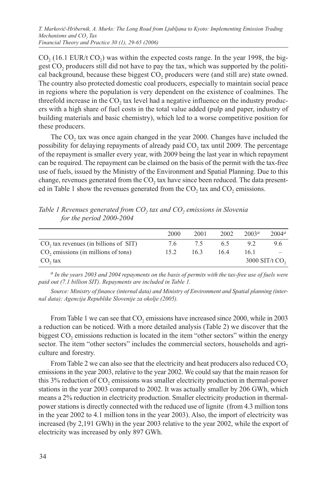$CO<sub>2</sub>$  (16.1 EUR/t  $CO<sub>2</sub>$ ) was within the expected costs range. In the year 1998, the biggest CO<sub>2</sub> producers still did not have to pay the tax, which was supported by the political background, because these biggest CO<sub>2</sub> producers were (and still are) state owned. The country also protected domestic coal producers, especially to maintain social peace in regions where the population is very dependent on the existence of coalmines. The threefold increase in the  $CO<sub>2</sub>$  tax level had a negative influence on the industry producers with a high share of fuel costs in the total value added (pulp and paper, industry of building materials and basic chemistry), which led to a worse competitive position for these producers.

The CO<sub>2</sub> tax was once again changed in the year 2000. Changes have included the possibility for delaying repayments of already paid CO<sub>2</sub> tax until 2009. The percentage of the repayment is smaller every year, with 2009 being the last year in which repayment can be required. The repayment can be claimed on the basis of the permit with the tax-free use of fuels, issued by the Ministry of the Environment and Spatial Planning. Due to this change, revenues generated from the CO<sub>2</sub> tax have since been reduced. The data presented in Table 1 show the revenues generated from the  $CO<sub>2</sub>$  tax and  $CO<sub>2</sub>$  emissions.

|                                                 | 2000 | 2001 | 2002 | 2003 <sup>a</sup> | $2004^a$         |
|-------------------------------------------------|------|------|------|-------------------|------------------|
| CO, tax revenues (in billions of SIT)           | 7.6  | 7.5  | 6.5  | 9.2               | 9.6              |
| CO <sub>2</sub> emissions (in millions of tons) | 15.2 | 16.3 | 16.4 | 16.1              |                  |
| $CO2$ tax                                       |      |      |      |                   | 3000 SIT/t $CO2$ |

Table 1 Revenues generated from CO<sub>2</sub> tax and CO<sub>2</sub> emissions in Slovenia *for the period 2000-2004*

*a In the years 2003 and 2004 repayments on the basis of permits with the tax-free use of fuels were paid out (7.1 billion SIT). Repayments are included in Table 1.*

*Source: Ministry of finance (internal data) and Ministry of Environment and Spatial planning (internal data); Agencija Republike Slovenije za okolje (2005).*

From Table 1 we can see that  $CO_2$  emissions have increased since 2000, while in 2003 a reduction can be noticed. With a more detailed analysis (Table 2) we discover that the biggest CO<sub>2</sub> emissions reduction is located in the item "other sectors" within the energy sector. The item "other sectors" includes the commercial sectors, households and agriculture and forestry.

From Table 2 we can also see that the electricity and heat producers also reduced CO<sub>2</sub>. emissions in the year 2003, relative to the year 2002. We could say that the main reason for this  $3\%$  reduction of  $CO<sub>2</sub>$  emissions was smaller electricity production in thermal-power stations in the year 2003 compared to 2002. It was actually smaller by 206 GWh, which means a 2% reduction in electricity production. Smaller electricity production in thermalpower stations is directly connected with the reduced use of lignite (from 4.3 million tons in the year 2002 to 4.1 million tons in the year 2003). Also, the import of electricity was increased (by 2,191 GWh) in the year 2003 relative to the year 2002, while the export of electricity was increased by only 897 GWh.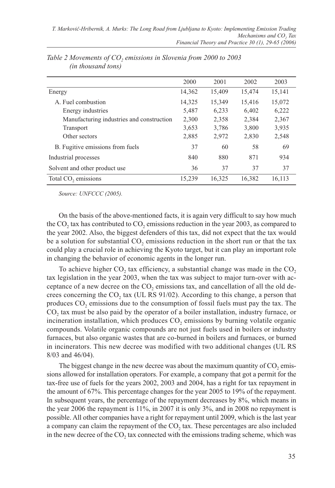|                                           | 2000   | 2001   | 2002   | 2003   |
|-------------------------------------------|--------|--------|--------|--------|
| Energy                                    | 14,362 | 15,409 | 15,474 | 15,141 |
| A. Fuel combustion                        | 14,325 | 15,349 | 15,416 | 15,072 |
| Energy industries                         | 5,487  | 6,233  | 6,402  | 6,222  |
| Manufacturing industries and construction | 2,300  | 2,358  | 2,384  | 2,367  |
| Transport                                 | 3,653  | 3,786  | 3,800  | 3,935  |
| Other sectors                             | 2,885  | 2,972  | 2,830  | 2,548  |
| B. Fugitive emissions from fuels          | 37     | 60     | 58     | 69     |
| Industrial processes                      | 840    | 880    | 871    | 934    |
| Solvent and other product use             | 36     | 37     | 37     | 37     |
| Total CO <sub>2</sub> emissions           | 15.239 | 16.325 | 16.382 | 16.113 |

Table 2 Movements of CO<sub>2</sub> emissions in Slovenia from 2000 to 2003 *(in thousand tons)*

*Source: UNFCCC (2005).*

On the basis of the above-mentioned facts, it is again very difficult to say how much the CO<sub>2</sub> tax has contributed to CO<sub>2</sub> emissions reduction in the year 2003, as compared to the year 2002. Also, the biggest defenders of this tax, did not expect that the tax would be a solution for substantial  $CO<sub>2</sub>$  emissions reduction in the short run or that the tax could play a crucial role in achieving the Kyoto target, but it can play an important role in changing the behavior of economic agents in the longer run.

To achieve higher  $CO<sub>2</sub>$  tax efficiency, a substantial change was made in the  $CO<sub>2</sub>$ tax legislation in the year 2003, when the tax was subject to major turn-over with acceptance of a new decree on the  $CO<sub>2</sub>$  emissions tax, and cancellation of all the old decrees concerning the CO<sub>2</sub> tax (UL RS 91/02). According to this change, a person that produces  $CO<sub>2</sub>$  emissions due to the consumption of fossil fuels must pay the tax. The CO<sub>2</sub> tax must be also paid by the operator of a boiler installation, industry furnace, or incineration installation, which produces  $CO<sub>2</sub>$  emissions by burning volatile organic compounds. Volatile organic compounds are not just fuels used in boilers or industry furnaces, but also organic wastes that are co-burned in boilers and furnaces, or burned in incinerators. This new decree was modified with two additional changes (UL RS 8/03 and 46/04).

The biggest change in the new decree was about the maximum quantity of  $CO$ , emissions allowed for installation operators. For example, a company that got a permit for the tax-free use of fuels for the years 2002, 2003 and 2004, has a right for tax repayment in the amount of 67%. This percentage changes for the year 2005 to 19% of the repayment. In subsequent years, the percentage of the repayment decreases by 8%, which means in the year 2006 the repayment is 11%, in 2007 it is only 3%, and in 2008 no repayment is possible. All other companies have a right for repayment until 2009, which is the last year a company can claim the repayment of the CO<sub>2</sub> tax. These percentages are also included in the new decree of the CO<sub>2</sub> tax connected with the emissions trading scheme, which was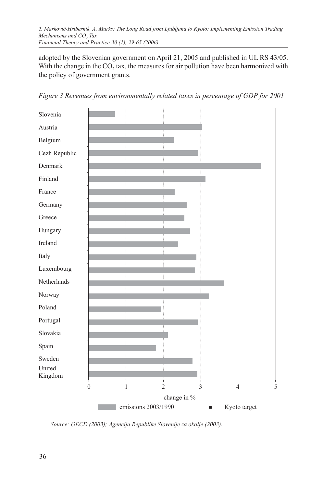*T. Markovič-Hribernik, A. Murks: The Long Road from Ljubljana to Kyoto: Implementing Emission Trading Mechanisms and CO<sub>2</sub> Tax Financial Theory and Practice 30 (1), 29-65 (2006)*

adopted by the Slovenian government on April 21, 2005 and published in UL RS 43/05. With the change in the  $CO<sub>2</sub>$  tax, the measures for air pollution have been harmonized with the policy of government grants.



*Figure 3 Revenues from environmentally related taxes in percentage of GDP for 2001*

*Source: OECD (2003); Agencija Republike Slovenije za okolje (2003).*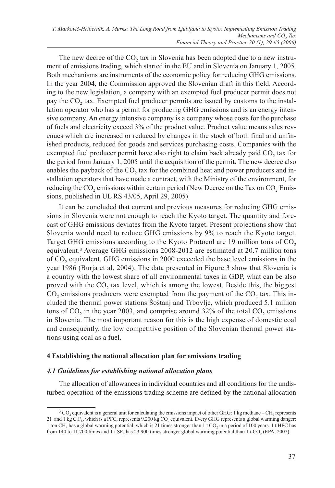The new decree of the  $CO<sub>2</sub>$  tax in Slovenia has been adopted due to a new instrument of emissions trading, which started in the EU and in Slovenia on January 1, 2005. Both mechanisms are instruments of the economic policy for reducing GHG emissions. In the year 2004, the Commission approved the Slovenian draft in this field. According to the new legislation, a company with an exempted fuel producer permit does not pay the CO<sub>2</sub> tax. Exempted fuel producer permits are issued by customs to the installation operator who has a permit for producing GHG emissions and is an energy intensive company. An energy intensive company is a company whose costs for the purchase of fuels and electricity exceed 3% of the product value. Product value means sales revenues which are increased or reduced by changes in the stock of both final and unfinished products, reduced for goods and services purchasing costs. Companies with the exempted fuel producer permit have also right to claim back already paid  $CO<sub>2</sub>$  tax for the period from January 1, 2005 until the acquisition of the permit. The new decree also enables the payback of the  $CO<sub>2</sub>$  tax for the combined heat and power producers and installation operators that have made a contract, with the Ministry of the environment, for reducing the CO<sub>2</sub> emissions within certain period (New Decree on the Tax on CO<sub>2</sub> Emissions, published in UL RS 43/05, April 29, 2005).

It can be concluded that current and previous measures for reducing GHG emissions in Slovenia were not enough to reach the Kyoto target. The quantity and forecast of GHG emissions deviates from the Kyoto target. Present projections show that Slovenia would need to reduce GHG emissions by 9% to reach the Kyoto target. Target GHG emissions according to the Kyoto Protocol are 19 million tons of CO<sub>2</sub> equivalent.3 Average GHG emissions 2008-2012 are estimated at 20.7 million tons of CO2 equivalent. GHG emissions in 2000 exceeded the base level emissions in the year 1986 (Burja et al, 2004). The data presented in Figure 3 show that Slovenia is a country with the lowest share of all environmental taxes in GDP, what can be also proved with the  $CO<sub>2</sub>$  tax level, which is among the lowest. Beside this, the biggest  $CO<sub>2</sub>$  emissions producers were exempted from the payment of the  $CO<sub>2</sub>$  tax. This included the thermal power stations Šoštanj and Trbovlje, which produced 5.1 million tons of  $CO_2$  in the year 2003, and comprise around 32% of the total  $CO_2$  emissions in Slovenia. The most important reason for this is the high expense of domestic coal and consequently, the low competitive position of the Slovenian thermal power stations using coal as a fuel.

# **4 Establishing the national allocation plan for emissions trading**

# *4.1 Guidelines for establishing national allocation plans*

The allocation of allowances in individual countries and all conditions for the undisturbed operation of the emissions trading scheme are defined by the national allocation

 $3$  CO<sub>2</sub> equivalent is a general unit for calculating the emissions impact of other GHG: 1 kg methane – CH<sub>4</sub> represents 21 and 1 kg  $C_2F_6$ , which is a PFC, represents 9.200 kg CO<sub>2</sub> equivalent. Every GHG represents a global warming danger: 1 ton CH<sub>4</sub> has a global warming potential, which is 21 times stronger than 1 t CO<sub>2</sub> in a period of 100 years. 1 t HFC has from 140 to 11.700 times and 1 t  $SF<sub>6</sub>$  has 23.900 times stronger global warming potential than 1 t CO<sub>2</sub> (EPA, 2002).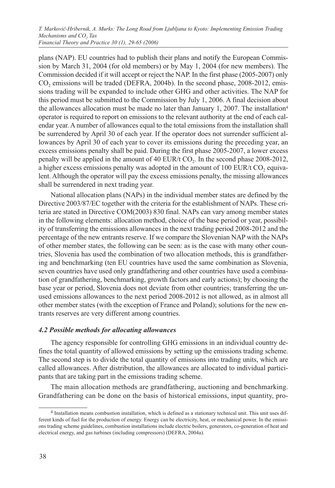plans (NAP). EU countries had to publish their plans and notify the European Commission by March 31, 2004 (for old members) or by May 1, 2004 (for new members). The Commission decided if it will accept or reject the NAP. In the first phase (2005-2007) only CO<sub>2</sub> emissions will be traded (DEFRA, 2004b). In the second phase, 2008-2012, emissions trading will be expanded to include other GHG and other activities. The NAP for this period must be submitted to the Commission by July 1, 2006. A final decision about the allowances allocation must be made no later than January 1, 2007. The installation<sup>4</sup> operator is required to report on emissions to the relevant authority at the end of each calendar year. A number of allowances equal to the total emissions from the installation shall be surrendered by April 30 of each year. If the operator does not surrender sufficient allowances by April 30 of each year to cover its emissions during the preceding year, an excess emissions penalty shall be paid. During the first phase 2005-2007, a lower excess penalty will be applied in the amount of 40 EUR/t CO<sub>2</sub>. In the second phase 2008-2012, a higher excess emissions penalty was adopted in the amount of  $100$  EUR/t CO, equivalent. Although the operator will pay the excess emissions penalty, the missing allowances shall be surrendered in next trading year.

National allocation plans (NAPs) in the individual member states are defined by the Directive 2003/87/EC together with the criteria for the establishment of NAPs. These criteria are stated in Directive COM(2003) 830 final. NAPs can vary among member states in the following elements: allocation method, choice of the base period or year, possibility of transferring the emissions allowances in the next trading period 2008-2012 and the percentage of the new entrants reserve. If we compare the Slovenian NAP with the NAPs of other member states, the following can be seen: as is the case with many other countries, Slovenia has used the combination of two allocation methods, this is grandfathering and benchmarking (ten EU countries have used the same combination as Slovenia, seven countries have used only grandfathering and other countries have used a combination of grandfathering, benchmarking, growth factors and early actions); by choosing the base year or period, Slovenia does not deviate from other countries; transferring the unused emissions allowances to the next period 2008-2012 is not allowed, as in almost all other member states (with the exception of France and Poland); solutions for the new entrants reserves are very different among countries.

#### *4.2 Possible methods for allocating allowances*

The agency responsible for controlling GHG emissions in an individual country defines the total quantity of allowed emissions by setting up the emissions trading scheme. The second step is to divide the total quantity of emissions into trading units, which are called allowances. After distribution, the allowances are allocated to individual participants that are taking part in the emissions trading scheme.

The main allocation methods are grandfathering, auctioning and benchmarking. Grandfathering can be done on the basis of historical emissions, input quantity, pro-

<sup>4</sup> Installation means combustion installation, which is defined as a stationary technical unit. This unit uses different kinds of fuel for the production of energy. Energy can be electricity, heat, or mechanical power. In the emissions trading scheme guidelines, combustion installations include electric boilers, generators, co-generation of heat and electrical energy, and gas turbines (including compressors) (DEFRA, 2004a).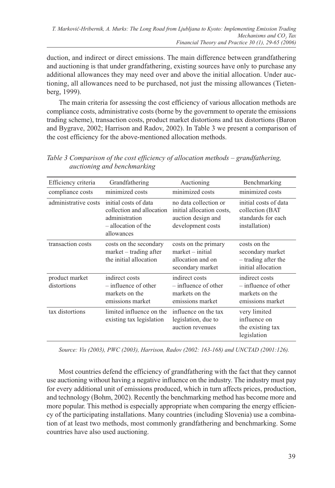duction, and indirect or direct emissions. The main difference between grandfathering and auctioning is that under grandfathering, existing sources have only to purchase any additional allowances they may need over and above the initial allocation. Under auctioning, all allowances need to be purchased, not just the missing allowances (Tietenberg, 1999).

The main criteria for assessing the cost efficiency of various allocation methods are compliance costs, administrative costs (borne by the government to operate the emissions trading scheme), transaction costs, product market distortions and tax distortions (Baron and Bygrave, 2002; Harrison and Radov, 2002). In Table 3 we present a comparison of the cost efficiency for the above-mentioned allocation methods.

| Efficiency criteria           | Grandfathering                                                                                            | Auctioning                                                                                    | Benchmarking                                                                    |
|-------------------------------|-----------------------------------------------------------------------------------------------------------|-----------------------------------------------------------------------------------------------|---------------------------------------------------------------------------------|
|                               |                                                                                                           |                                                                                               |                                                                                 |
| compliance costs              | minimized costs                                                                                           | minimized costs                                                                               | minimized costs                                                                 |
| administrative costs          | initial costs of data<br>collection and allocation<br>administration<br>- allocation of the<br>allowances | no data collection or<br>initial allocation costs,<br>auction design and<br>development costs | initial costs of data<br>collection (BAT<br>standards for each<br>installation) |
| transaction costs             | costs on the secondary<br>$market - trading after$<br>the initial allocation                              | costs on the primary<br>$market - initial$<br>allocation and on<br>secondary market           | costs on the<br>secondary market<br>– trading after the<br>initial allocation   |
| product market<br>distortions | indirect costs<br>$-$ influence of other<br>markets on the<br>emissions market                            | indirect costs<br>$-$ influence of other<br>markets on the<br>emissions market                | indirect costs<br>$-$ influence of other<br>markets on the<br>emissions market  |
| tax distortions               | limited influence on the<br>existing tax legislation                                                      | influence on the tax<br>legislation, due to<br>auction revenues                               | very limited<br>influence on<br>the existing tax<br>legislation                 |

*Table 3 Comparison of the cost efficiency of allocation methods – grandfathering, auctioning and benchmarking*

*Source: Vis (2003), PWC (2003), Harrison, Radov (2002: 163-168) and UNCTAD (2001:126).*

Most countries defend the efficiency of grandfathering with the fact that they cannot use auctioning without having a negative influence on the industry. The industry must pay for every additional unit of emissions produced, which in turn affects prices, production, and technology (Bohm, 2002). Recently the benchmarking method has become more and more popular. This method is especially appropriate when comparing the energy efficiency of the participating installations. Many countries (including Slovenia) use a combination of at least two methods, most commonly grandfathering and benchmarking. Some countries have also used auctioning.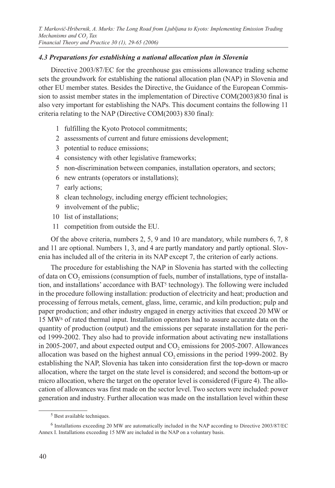## *4.3 Preparations for establishing a national allocation plan in Slovenia*

Directive 2003/87/EC for the greenhouse gas emissions allowance trading scheme sets the groundwork for establishing the national allocation plan (NAP) in Slovenia and other EU member states. Besides the Directive, the Guidance of the European Commission to assist member states in the implementation of Directive COM(2003)830 final is also very important for establishing the NAPs. This document contains the following 11 criteria relating to the NAP (Directive COM(2003) 830 final):

- 1 fulfilling the Kyoto Protocol commitments;
- 2 assessments of current and future emissions development;
- 3 potential to reduce emissions;
- 4 consistency with other legislative frameworks;
- 5 non-discrimination between companies, installation operators, and sectors;
- 6 new entrants (operators or installations);
- 7 early actions;
- 8 clean technology, including energy efficient technologies;
- 9 involvement of the public;
- 10 list of installations;
- 11 competition from outside the EU.

Of the above criteria, numbers 2, 5, 9 and 10 are mandatory, while numbers 6, 7, 8 and 11 are optional. Numbers 1, 3, and 4 are partly mandatory and partly optional. Slovenia has included all of the criteria in its NAP except 7, the criterion of early actions.

The procedure for establishing the NAP in Slovenia has started with the collecting of data on CO<sub>2</sub> emissions (consumption of fuels, number of installations, type of installation, and installations' accordance with BAT5 technology). The following were included in the procedure following installation: production of electricity and heat; production and processing of ferrous metals, cement, glass, lime, ceramic, and kiln production; pulp and paper production; and other industry engaged in energy activities that exceed 20 MW or 15 MW6 of rated thermal input. Installation operators had to assure accurate data on the quantity of production (output) and the emissions per separate installation for the period 1999-2002. They also had to provide information about activating new installations in 2005-2007, and about expected output and  $CO<sub>2</sub>$  emissions for 2005-2007. Allowances allocation was based on the highest annual  $CO<sub>2</sub>$  emissions in the period 1999-2002. By establishing the NAP, Slovenia has taken into consideration first the top-down or macro allocation, where the target on the state level is considered; and second the bottom-up or micro allocation, where the target on the operator level is considered (Figure 4). The allocation of allowances was first made on the sector level. Two sectors were included: power generation and industry. Further allocation was made on the installation level within these

<sup>5</sup> Best available techniques.

<sup>6</sup> Installations exceeding 20 MW are automatically included in the NAP according to Directive 2003/87/EC Annex I. Installations exceeding 15 MW are included in the NAP on a voluntary basis.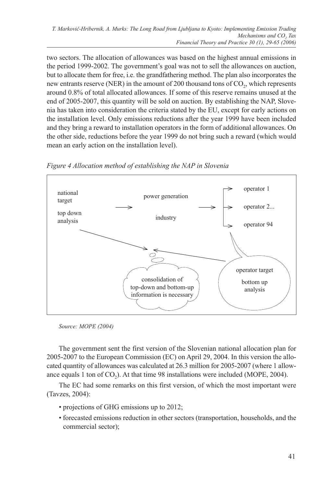two sectors. The allocation of allowances was based on the highest annual emissions in the period 1999-2002. The government's goal was not to sell the allowances on auction, but to allocate them for free, i.e. the grandfathering method. The plan also incorporates the new entrants reserve (NER) in the amount of 200 thousand tons of CO<sub>2</sub>, which represents around 0.8% of total allocated allowances. If some of this reserve remains unused at the end of 2005-2007, this quantity will be sold on auction. By establishing the NAP, Slovenia has taken into consideration the criteria stated by the EU, except for early actions on the installation level. Only emissions reductions after the year 1999 have been included and they bring a reward to installation operators in the form of additional allowances. On the other side, reductions before the year 1999 do not bring such a reward (which would mean an early action on the installation level).



*Figure 4 Allocation method of establishing the NAP in Slovenia*

The government sent the first version of the Slovenian national allocation plan for 2005-2007 to the European Commission (EC) on April 29, 2004. In this version the allocated quantity of allowances was calculated at 26.3 million for 2005-2007 (where 1 allowance equals 1 ton of  $CO<sub>2</sub>$ ). At that time 98 installations were included (MOPE, 2004).

The EC had some remarks on this first version, of which the most important were (Tavzes, 2004):

- projections of GHG emissions up to 2012;
- forecasted emissions reduction in other sectors (transportation, households, and the commercial sector);

*Source: MOPE (2004)*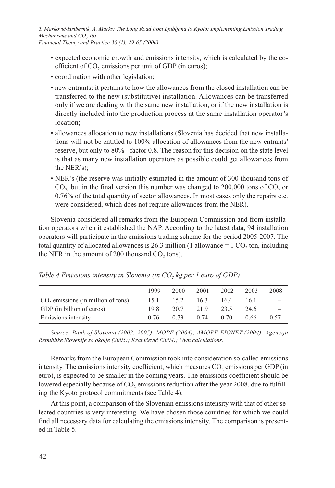- expected economic growth and emissions intensity, which is calculated by the coefficient of  $CO<sub>2</sub>$  emissions per unit of GDP (in euros);
- coordination with other legislation;
- new entrants: it pertains to how the allowances from the closed installation can be transferred to the new (substitutive) installation. Allowances can be transferred only if we are dealing with the same new installation, or if the new installation is directly included into the production process at the same installation operator's location;
- allowances allocation to new installations (Slovenia has decided that new installations will not be entitled to 100% allocation of allowances from the new entrants' reserve, but only to 80% - factor 0.8. The reason for this decision on the state level is that as many new installation operators as possible could get allowances from the NER's);
- NER's (the reserve was initially estimated in the amount of 300 thousand tons of  $CO<sub>2</sub>$ , but in the final version this number was changed to 200,000 tons of  $CO<sub>2</sub>$  or 0.76% of the total quantity of sector allowances. In most cases only the repairs etc. were considered, which does not require allowances from the NER).

Slovenia considered all remarks from the European Commission and from installation operators when it established the NAP. According to the latest data, 94 installation operators will participate in the emissions trading scheme for the period 2005-2007. The total quantity of allocated allowances is 26.3 million (1 allowance  $= 1 \text{ CO}$ , ton, including the NER in the amount of  $200$  thousand  $CO<sub>2</sub>$ , tons).

|                                                | 1999 | 2000 | 2001 | 2002 | 2003 | 2008 |
|------------------------------------------------|------|------|------|------|------|------|
| CO <sub>2</sub> emissions (in million of tons) | 15.1 | 15.2 | 16.3 | 16.4 | 16.1 |      |
| GDP (in billion of euros)                      | 19.8 | 20.7 | 21.9 | 23.5 | 24.6 |      |
| Emissions intensity                            | 0.76 | 0.73 | 0.74 | 0.70 | 0.66 | 0.57 |

*Table 4 Emissions intensity in Slovenia (in CO<sub>2</sub> kg per 1 euro of GDP)* 

*Source: Bank of Slovenia (2003; 2005); MOPE (2004); AMOPE-EIONET (2004); Agencija Republike Slovenije za okolje (2005); Kranjčevič (2004); Own calculations.*

Remarks from the European Commission took into consideration so-called emissions intensity. The emissions intensity coefficient, which measures  $CO<sub>2</sub>$  emissions per GDP (in euro), is expected to be smaller in the coming years. The emissions coefficient should be lowered especially because of CO<sub>2</sub> emissions reduction after the year 2008, due to fulfilling the Kyoto protocol commitments (see Table 4).

At this point, a comparison of the Slovenian emissions intensity with that of other selected countries is very interesting. We have chosen those countries for which we could find all necessary data for calculating the emissions intensity. The comparison is presented in Table 5.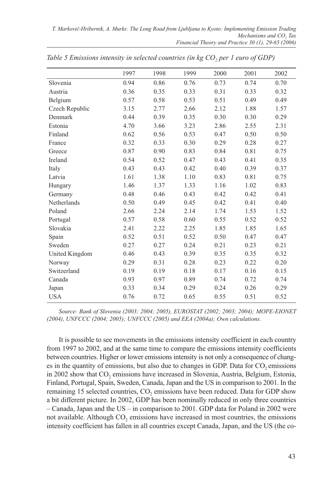|                | 1997 | 1998 | 1999 | 2000 | 2001 | 2002 |
|----------------|------|------|------|------|------|------|
| Slovenia       | 0.94 | 0.86 | 0.76 | 0.73 | 0.74 | 0.70 |
| Austria        | 0.36 | 0.35 | 0.33 | 0.31 | 0.33 | 0.32 |
| Belgium        | 0.57 | 0.58 | 0.53 | 0.51 | 0.49 | 0.49 |
| Czech Republic | 3.15 | 2.77 | 2.66 | 2.12 | 1.88 | 1.57 |
| Denmark        | 0.44 | 0.39 | 0.35 | 0.30 | 0.30 | 0.29 |
| Estonia        | 4.70 | 3.66 | 3.23 | 2.86 | 2.55 | 2.31 |
| Finland        | 0.62 | 0.56 | 0.53 | 0.47 | 0.50 | 0.50 |
| France         | 0.32 | 0.33 | 0.30 | 0.29 | 0.28 | 0.27 |
| Greece         | 0.87 | 0.90 | 0.83 | 0.84 | 0.81 | 0.75 |
| Ireland        | 0.54 | 0.52 | 0.47 | 0.43 | 0.41 | 0.35 |
| Italy          | 0.43 | 0.43 | 0.42 | 0.40 | 0.39 | 0.37 |
| Latvia         | 1.61 | 1.38 | 1.10 | 0.83 | 0.81 | 0.75 |
| Hungary        | 1.46 | 1.37 | 1.33 | 1.16 | 1.02 | 0.83 |
| Germany        | 0.48 | 0.46 | 0.43 | 0.42 | 0.42 | 0.41 |
| Netherlands    | 0.50 | 0.49 | 0.45 | 0.42 | 0.41 | 0.40 |
| Poland         | 2.66 | 2.24 | 2.14 | 1.74 | 1.53 | 1.52 |
| Portugal       | 0.57 | 0.58 | 0.60 | 0.55 | 0.52 | 0.52 |
| Slovakia       | 2.41 | 2.22 | 2.25 | 1.85 | 1.85 | 1.65 |
| Spain          | 0.52 | 0.51 | 0.52 | 0.50 | 0.47 | 0.47 |
| Sweden         | 0.27 | 0.27 | 0.24 | 0.21 | 0.23 | 0.21 |
| United Kingdom | 0.46 | 0.43 | 0.39 | 0.35 | 0.35 | 0.32 |
| Norway         | 0.29 | 0.31 | 0.28 | 0.23 | 0.22 | 0.20 |
| Switzerland    | 0.19 | 0.19 | 0.18 | 0.17 | 0.16 | 0.15 |
| Canada         | 0.93 | 0.97 | 0.89 | 0.74 | 0.72 | 0.74 |
| Japan          | 0.33 | 0.34 | 0.29 | 0.24 | 0.26 | 0.29 |
| <b>USA</b>     | 0.76 | 0.72 | 0.65 | 0.55 | 0.51 | 0.52 |

*Table 5 Emissions intensity in selected countries (in kg CO<sub>2</sub> per 1 euro of GDP)* 

*Source: Bank of Slovenia (2003; 2004; 2005), EUROSTAT (2002; 2003; 2004); MOPE-EIONET (2004), UNFCCC (2004; 2005); UNFCCC (2005) and EEA (2004a); Own calculations.*

It is possible to see movements in the emissions intensity coefficient in each country from 1997 to 2002, and at the same time to compare the emissions intensity coefficients between countries. Higher or lower emissions intensity is not only a consequence of changes in the quantity of emissions, but also due to changes in GDP. Data for CO<sub>2</sub> emissions in 2002 show that  $CO<sub>2</sub>$  emissions have increased in Slovenia, Austria, Belgium, Estonia, Finland, Portugal, Spain, Sweden, Canada, Japan and the US in comparison to 2001. In the remaining 15 selected countries, CO<sub>2</sub> emissions have been reduced. Data for GDP show a bit different picture. In 2002, GDP has been nominally reduced in only three countries – Canada, Japan and the US – in comparison to 2001. GDP data for Poland in 2002 were not available. Although CO<sub>2</sub> emissions have increased in most countries, the emissions intensity coefficient has fallen in all countries except Canada, Japan, and the US (the co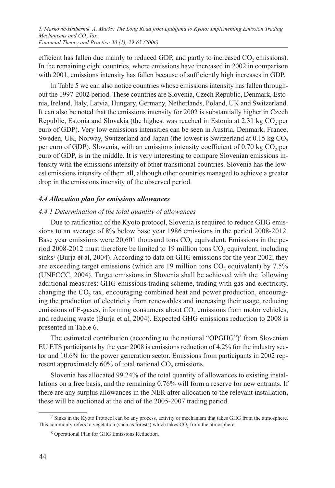efficient has fallen due mainly to reduced GDP, and partly to increased  $CO<sub>2</sub>$  emissions). In the remaining eight countries, where emissions have increased in 2002 in comparison with 2001, emissions intensity has fallen because of sufficiently high increases in GDP.

In Table 5 we can also notice countries whose emissions intensity has fallen throughout the 1997-2002 period. These countries are Slovenia, Czech Republic, Denmark, Estonia, Ireland, Italy, Latvia, Hungary, Germany, Netherlands, Poland, UK and Switzerland. It can also be noted that the emissions intensity for 2002 is substantially higher in Czech Republic, Estonia and Slovakia (the highest was reached in Estonia at  $2.31 \text{ kg CO}$ , per euro of GDP). Very low emissions intensities can be seen in Austria, Denmark, France, Sweden, UK, Norway, Switzerland and Japan (the lowest is Switzerland at 0.15 kg CO<sub>2</sub> per euro of GDP). Slovenia, with an emissions intensity coefficient of  $0.70 \text{ kg CO}$ , per euro of GDP, is in the middle. It is very interesting to compare Slovenian emissions intensity with the emissions intensity of other transitional countries. Slovenia has the lowest emissions intensity of them all, although other countries managed to achieve a greater drop in the emissions intensity of the observed period.

#### *4.4 Allocation plan for emissions allowances*

#### *4.4.1 Determination of the total quantity of allowances*

Due to ratification of the Kyoto protocol, Slovenia is required to reduce GHG emissions to an average of 8% below base year 1986 emissions in the period 2008-2012. Base year emissions were  $20,601$  thousand tons  $CO$ , equivalent. Emissions in the period 2008-2012 must therefore be limited to 19 million tons  $CO<sub>2</sub>$  equivalent, including sinks<sup>7</sup> (Burja et al, 2004). According to data on GHG emissions for the year 2002, they are exceeding target emissions (which are  $19$  million tons  $CO$ , equivalent) by  $7.5\%$ (UNFCCC, 2004). Target emissions in Slovenia shall be achieved with the following additional measures: GHG emissions trading scheme, trading with gas and electricity, changing the  $CO<sub>2</sub>$  tax, encouraging combined heat and power production, encouraging the production of electricity from renewables and increasing their usage, reducing emissions of F-gases, informing consumers about CO<sub>2</sub> emissions from motor vehicles, and reducing waste (Burja et al, 2004). Expected GHG emissions reduction to 2008 is presented in Table 6.

The estimated contribution (according to the national "OPGHG")8 from Slovenian EU ETS participants by the year 2008 is emissions reduction of 4.2% for the industry sector and 10.6% for the power generation sector. Emissions from participants in 2002 represent approximately  $60\%$  of total national  $CO<sub>2</sub>$  emissions.

Slovenia has allocated 99.24% of the total quantity of allowances to existing installations on a free basis, and the remaining 0.76% will form a reserve for new entrants. If there are any surplus allowances in the NER after allocation to the relevant installation, these will be auctioned at the end of the 2005-2007 trading period.

<sup>7</sup> Sinks in the Kyoto Protocol can be any process, activity or mechanism that takes GHG from the atmosphere. This commonly refers to vegetation (such as forests) which takes  $CO<sub>2</sub>$  from the atmosphere.

<sup>8</sup> Operational Plan for GHG Emissions Reduction.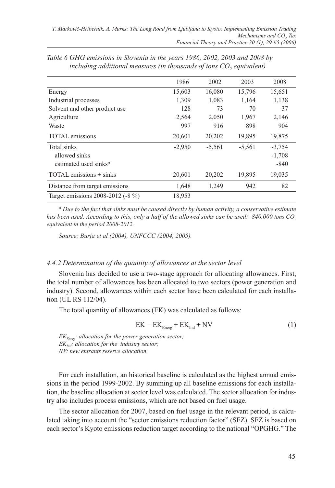|                                                | 1986     | 2002     | 2003     | 2008     |
|------------------------------------------------|----------|----------|----------|----------|
| Energy                                         | 15,603   | 16,080   | 15,796   | 15,651   |
| Industrial processes                           | 1,309    | 1,083    | 1,164    | 1,138    |
| Solvent and other product use                  | 128      | 73       | 70       | 37       |
| Agriculture                                    | 2,564    | 2,050    | 1,967    | 2,146    |
| Waste                                          | 997      | 916      | 898      | 904      |
| <b>TOTAL</b> emissions                         | 20,601   | 20,202   | 19,895   | 19,875   |
| Total sinks                                    | $-2,950$ | $-5,561$ | $-5,561$ | $-3,754$ |
| allowed sinks                                  |          |          |          | $-1,708$ |
| estimated used sinks <sup><math>a</math></sup> |          |          |          | $-840$   |
| $\text{TOTAL emissions} + \text{sinks}$        | 20,601   | 20,202   | 19,895   | 19,035   |
| Distance from target emissions                 | 1,648    | 1,249    | 942      | 82       |
| Target emissions 2008-2012 (-8 %)              | 18,953   |          |          |          |

*Table 6 GHG emissions in Slovenia in the years 1986, 2002, 2003 and 2008 by including additional measures (in thousands of tons CO<sub>2</sub> equivalent)* 

*<sup>a</sup> Due to the fact that sinks must be caused directly by human activity, a conservative estimate*  has been used. According to this, only a half of the allowed sinks can be used: 840.000 tons CO, *equivalent in the period 2008-2012.*

*Source: Burja et al (2004), UNFCCC (2004, 2005).*

#### *4.4.2 Determination of the quantity of allowances at the sector level*

Slovenia has decided to use a two-stage approach for allocating allowances. First, the total number of allowances has been allocated to two sectors (power generation and industry). Second, allowances within each sector have been calculated for each installation (UL RS 112/04).

The total quantity of allowances (EK) was calculated as follows:

$$
EK = EK_{\text{Energy}} + EK_{\text{Ind}} + NV \tag{1}
$$

*EKEnerg: allocation for the power generation sector; EK<sub>Ind</sub>: allocation for the industry sector; NV: new entrants reserve allocation.*

For each installation, an historical baseline is calculated as the highest annual emissions in the period 1999-2002. By summing up all baseline emissions for each installation, the baseline allocation at sector level was calculated. The sector allocation for industry also includes process emissions, which are not based on fuel usage.

The sector allocation for 2007, based on fuel usage in the relevant period, is calculated taking into account the "sector emissions reduction factor" (SFZ). SFZ is based on each sector's Kyoto emissions reduction target according to the national "OPGHG." The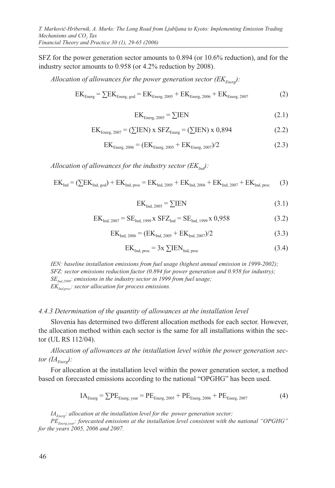SFZ for the power generation sector amounts to 0.894 (or 10.6% reduction), and for the industry sector amounts to 0.958 (or 4.2% reduction by 2008).

*Allocation of allowances for the power generation sector*  $(EK_{Enerv})$ *:* 

$$
EKEnerg = \sum EKEnerg, god = EKEnerg, 2005 + EKEnerg, 2006 + EKEnerg, 2007
$$
 (2)

$$
EK_{\text{Energy}, 2005} = \sum IEN
$$
 (2.1)

$$
EKEnerg, 2007 = (\sum IEN) x SETEnerg = (\sum IEN) x 0,894
$$
 (2.2)

$$
EK_{\text{Energy, 2006}} = (EK_{\text{Energy, 2005}} + EK_{\text{Energy, 2007}})/2
$$
 (2.3)

*Allocation of allowances for the industry sector*  $(EK_{Ind})$ *:* 

$$
EK_{Ind} = (\sum EK_{Ind, \text{ god}}) + EK_{Ind, \text{ proc}} = EK_{Ind, 2005} + EK_{Ind, 2006} + EK_{Ind, 2007} + EK_{Ind, \text{ proc}} \tag{3}
$$

$$
EK_{\text{Ind, }2005} = \sum IEN
$$
 (3.1)

$$
EKInd, 2007 = SEInd, 1999 x SETInd = SEInd, 1999 x 0,958
$$
 (3.2)

$$
EK_{\text{Ind, }2006} = (EK_{\text{Ind, }2005} + EK_{\text{Ind, }2007})/2
$$
\n(3.3)

$$
EKInd, proc = 3x \sum IENInd, proc
$$
 (3.4)

*IEN: baseline installation emissions from fuel usage (highest annual emission in 1999-2002); SFZ: sector emissions reduction factor (0.894 for power generation and 0.958 for industry); SEInd,1999: emissions in the industry sector in 1999 from fuel usage; EKInd,proc: sector allocation for process emissions.*

#### *4.4.3 Determination of the quantity of allowances at the installation level*

Slovenia has determined two different allocation methods for each sector. However, the allocation method within each sector is the same for all installations within the sector (UL RS 112/04).

*Allocation of allowances at the installation level within the power generation sector*  $(H_{\text{Energy}}):$ 

For allocation at the installation level within the power generation sector, a method based on forecasted emissions according to the national "OPGHG" has been used.

$$
IA_{\text{Energy}} = \sum PE_{\text{Energy, year}} = PE_{\text{Energy, 2005}} + PE_{\text{Energy, 2006}} + PE_{\text{Energy, 2007}}
$$
(4)

*IA<sub>Energ</sub>: allocation at the installation level for the power generation sector;* 

*PEEnerg,year: forecasted emissions at the installation level consistent with the national "OPGHG" for the years 2005, 2006 and 2007.*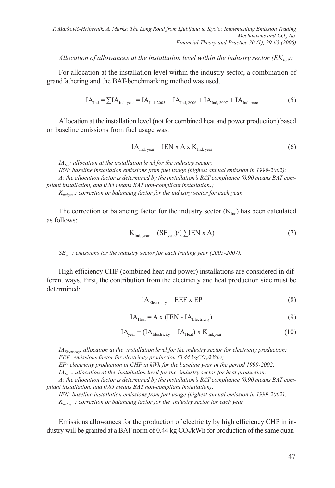*Allocation of allowances at the installation level within the industry sector*  $(EK_{Ind})$ *:* 

For allocation at the installation level within the industry sector, a combination of grandfathering and the BAT-benchmarking method was used.

$$
IA_{\text{Ind}} = \sum IA_{\text{Ind, year}} = IA_{\text{Ind, }2005} + IA_{\text{Ind, }2006} + IA_{\text{Ind, }2007} + IA_{\text{Ind, proc}} \tag{5}
$$

Allocation at the installation level (not for combined heat and power production) based on baseline emissions from fuel usage was:

$$
IAInd, year = IEN x A x KInd, year
$$
 (6)

*IA<sub>Ind</sub>: allocation at the installation level for the industry sector; IEN: baseline installation emissions from fuel usage (highest annual emission in 1999-2002); A: the allocation factor is determined by the installation's BAT compliance (0.90 means BAT compliant installation, and 0.85 means BAT non-compliant installation);*

*Kind,year: correction or balancing factor for the industry sector for each year.*

The correction or balancing factor for the industry sector  $(K<sub>Ind</sub>)$  has been calculated as follows:

$$
K_{\text{Ind, year}} = (SE_{\text{year}}) / (\sum IEN \times A)
$$
 (7)

*SEyear: emissions for the industry sector for each trading year (2005-2007).*

High efficiency CHP (combined heat and power) installations are considered in different ways. First, the contribution from the electricity and heat production side must be determined:

$$
IAElectricity = EEF \times EP
$$
 (8)

$$
IA_{\text{Heat}} = A \times (IEN - IA_{\text{Electricity}}) \tag{9}
$$

$$
IA_{\text{year}} = (IA_{\text{Electricity}} + IA_{\text{Heat}}) \times K_{\text{ind,year}} \tag{10}
$$

*IA*<sub>Electricity</sub>: allocation at the installation level for the industry sector for electricity production; *EEF: emissions factor for electricity production (0.44 kgCO<sub>/</sub>kWh);* 

*EP: electricity production in CHP in kWh for the baseline year in the period 1999-2002;*

*IA<sub>Heat</sub>: allocation at the installation level for the industry sector for heat production;* 

*A: the allocation factor is determined by the installation's BAT compliance (0.90 means BAT compliant installation, and 0.85 means BAT non-compliant installation);*

*IEN: baseline installation emissions from fuel usage (highest annual emission in 1999-2002);*

*Kind,year: correction or balancing factor for the industry sector for each year.*

Emissions allowances for the production of electricity by high efficiency CHP in industry will be granted at a BAT norm of  $0.44 \text{ kg CO}_{2}/\text{kWh}$  for production of the same quan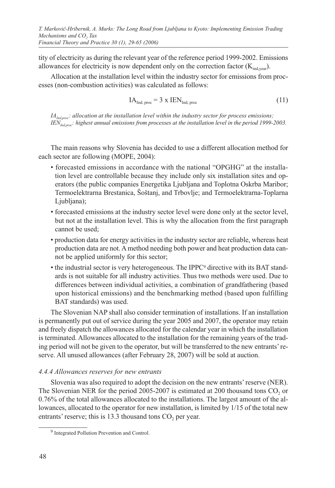tity of electricity as during the relevant year of the reference period 1999-2002. Emissions allowances for electricity is now dependent only on the correction factor  $(K_{ind\,varphi})$ .

Allocation at the installation level within the industry sector for emissions from processes (non-combustion activities) was calculated as follows:

$$
IA_{Ind, proc} = 3 \times IEN_{Ind, proc}
$$
 (11)

*IA<sub>Ind,proc</sub>: allocation at the installation level within the industry sector for process emissions; IEN<sub>Ind,proc</sub>: highest annual emissions from processes at the installation level in the period 1999-2003.* 

The main reasons why Slovenia has decided to use a different allocation method for each sector are following (MOPE, 2004):

- forecasted emissions in accordance with the national "OPGHG" at the installation level are controllable because they include only six installation sites and operators (the public companies Energetika Ljubljana and Toplotna Oskrba Maribor; Termoelektrarna Brestanica, Šoštanj, and Trbovlje; and Termoelektrarna-Toplarna Ljubljana);
- forecasted emissions at the industry sector level were done only at the sector level, but not at the installation level. This is why the allocation from the first paragraph cannot be used;
- production data for energy activities in the industry sector are reliable, whereas heat production data are not. A method needing both power and heat production data cannot be applied uniformly for this sector;
- the industrial sector is very heterogeneous. The IPPC9 directive with its BAT standards is not suitable for all industry activities. Thus two methods were used. Due to differences between individual activities, a combination of grandfathering (based upon historical emissions) and the benchmarking method (based upon fulfilling BAT standards) was used.

The Slovenian NAP shall also consider termination of installations. If an installation is permanently put out of service during the year 2005 and 2007, the operator may retain and freely dispatch the allowances allocated for the calendar year in which the installation is terminated. Allowances allocated to the installation for the remaining years of the trading period will not be given to the operator, but will be transferred to the new entrants' reserve. All unused allowances (after February 28, 2007) will be sold at auction.

# *4.4.4 Allowances reserves for new entrants*

Slovenia was also required to adopt the decision on the new entrants' reserve (NER). The Slovenian NER for the period  $2005-2007$  is estimated at 200 thousand tons CO<sub>2</sub> or 0.76% of the total allowances allocated to the installations. The largest amount of the allowances, allocated to the operator for new installation, is limited by 1/15 of the total new entrants' reserve; this is  $13.3$  thousand tons  $CO<sub>2</sub>$  per year.

<sup>9</sup> Integrated Pollution Prevention and Control.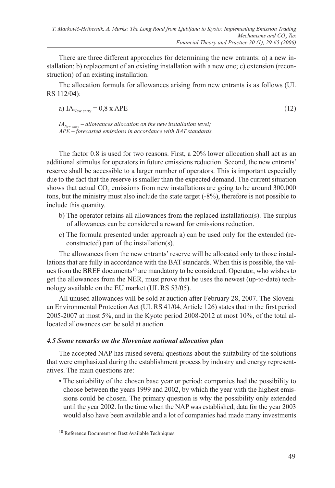There are three different approaches for determining the new entrants: a) a new installation; b) replacement of an existing installation with a new one; c) extension (reconstruction) of an existing installation.

The allocation formula for allowances arising from new entrants is as follows (UL RS 112/04):

a) 
$$
IA_{New\text{ entry}} = 0.8 \times APE
$$
 (12)

 $IA<sub>New entry</sub> - allowances allocation on the new installation level;$ *APE – forecasted emissions in accordance with BAT standards.* 

The factor 0.8 is used for two reasons. First, a 20% lower allocation shall act as an additional stimulus for operators in future emissions reduction. Second, the new entrants' reserve shall be accessible to a larger number of operators. This is important especially due to the fact that the reserve is smaller than the expected demand. The current situation shows that actual CO<sub>2</sub> emissions from new installations are going to be around 300,000 tons, but the ministry must also include the state target (-8%), therefore is not possible to include this quantity.

- b) The operator retains all allowances from the replaced installation(s). The surplus of allowances can be considered a reward for emissions reduction.
- c) The formula presented under approach a) can be used only for the extended (reconstructed) part of the installation(s).

The allowances from the new entrants' reserve will be allocated only to those installations that are fully in accordance with the BAT standards. When this is possible, the values from the BREF documents10 are mandatory to be considered. Operator, who wishes to get the allowances from the NER, must prove that he uses the newest (up-to-date) technology available on the EU market (UL RS 53/05).

All unused allowances will be sold at auction after February 28, 2007. The Slovenian Environmental Protection Act (UL RS 41/04, Article 126) states that in the first period 2005-2007 at most 5%, and in the Kyoto period 2008-2012 at most 10%, of the total allocated allowances can be sold at auction.

# *4.5 Some remarks on the Slovenian national allocation plan*

The accepted NAP has raised several questions about the suitability of the solutions that were emphasized during the establishment process by industry and energy representatives. The main questions are:

• The suitability of the chosen base year or period: companies had the possibility to choose between the years 1999 and 2002, by which the year with the highest emissions could be chosen. The primary question is why the possibility only extended until the year 2002. In the time when the NAP was established, data for the year 2003 would also have been available and a lot of companies had made many investments

<sup>10</sup> Reference Document on Best Available Techniques.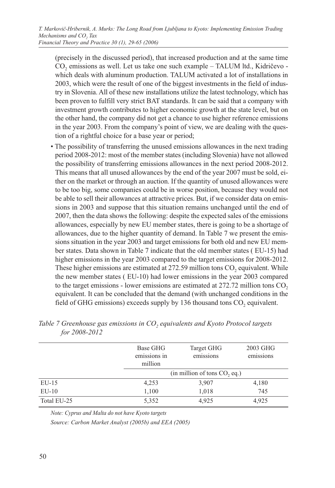(precisely in the discussed period), that increased production and at the same time CO<sub>2</sub> emissions as well. Let us take one such example – TALUM ltd., Kidričevo which deals with aluminum production. TALUM activated a lot of installations in 2003, which were the result of one of the biggest investments in the field of industry in Slovenia. All of these new installations utilize the latest technology, which has been proven to fulfill very strict BAT standards. It can be said that a company with investment growth contributes to higher economic growth at the state level, but on the other hand, the company did not get a chance to use higher reference emissions in the year 2003. From the company's point of view, we are dealing with the question of a rightful choice for a base year or period;

• The possibility of transferring the unused emissions allowances in the next trading period 2008-2012: most of the member states (including Slovenia) have not allowed the possibility of transferring emissions allowances in the next period 2008-2012. This means that all unused allowances by the end of the year 2007 must be sold, either on the market or through an auction. If the quantity of unused allowances were to be too big, some companies could be in worse position, because they would not be able to sell their allowances at attractive prices. But, if we consider data on emissions in 2003 and suppose that this situation remains unchanged until the end of 2007, then the data shows the following: despite the expected sales of the emissions allowances, especially by new EU member states, there is going to be a shortage of allowances, due to the higher quantity of demand. In Table 7 we present the emissions situation in the year 2003 and target emissions for both old and new EU member states. Data shown in Table 7 indicate that the old member states ( EU-15) had higher emissions in the year 2003 compared to the target emissions for 2008-2012. These higher emissions are estimated at 272.59 million tons CO<sub>2</sub> equivalent. While the new member states ( EU-10) had lower emissions in the year 2003 compared to the target emissions - lower emissions are estimated at  $272.72$  million tons  $CO<sub>2</sub>$ equivalent. It can be concluded that the demand (with unchanged conditions in the field of GHG emissions) exceeds supply by  $136$  thousand tons  $CO$ , equivalent.

|             | Base GHG<br>emissions in<br>million | Target GHG<br>emissions           | 2003 GHG<br>emissions |
|-------------|-------------------------------------|-----------------------------------|-----------------------|
|             |                                     | $(in$ million of tons $CO$ , eq.) |                       |
| $EU-15$     | 4,253                               | 3,907                             | 4,180                 |
| $EU-10$     | 1,100                               | 1,018                             | 745                   |
| Total EU-25 | 5,352                               | 4.925                             | 4.925                 |

*Table 7 Greenhouse gas emissions in CO<sub>2</sub> equivalents and Kyoto Protocol targets for 2008-2012*

*Note: Cyprus and Malta do not have Kyoto targets*

*Source: Carbon Market Analyst (2005b) and EEA (2005)*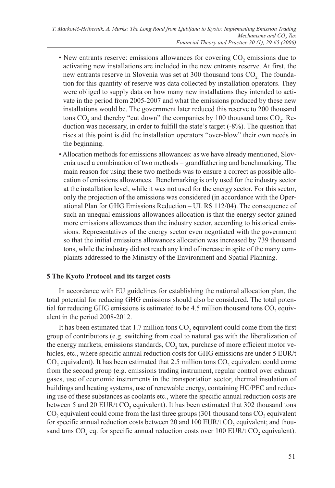- New entrants reserve: emissions allowances for covering CO<sub>2</sub> emissions due to activating new installations are included in the new entrants reserve. At first, the new entrants reserve in Slovenia was set at 300 thousand tons CO<sub>2</sub>. The foundation for this quantity of reserve was data collected by installation operators. They were obliged to supply data on how many new installations they intended to activate in the period from 2005-2007 and what the emissions produced by these new installations would be. The government later reduced this reserve to 200 thousand tons  $CO<sub>2</sub>$  and thereby "cut down" the companies by 100 thousand tons  $CO<sub>2</sub>$ . Reduction was necessary, in order to fulfill the state's target (-8%). The question that rises at this point is did the installation operators "over-blow" their own needs in the beginning.
- Allocation methods for emissions allowances: as we have already mentioned, Slovenia used a combination of two methods – grandfathering and benchmarking. The main reason for using these two methods was to ensure a correct as possible allocation of emissions allowances. Benchmarking is only used for the industry sector at the installation level, while it was not used for the energy sector. For this sector, only the projection of the emissions was considered (in accordance with the Operational Plan for GHG Emissions Reduction – UL RS 112/04). The consequence of such an unequal emissions allowances allocation is that the energy sector gained more emissions allowances than the industry sector, according to historical emissions. Representatives of the energy sector even negotiated with the government so that the initial emissions allowances allocation was increased by 739 thousand tons, while the industry did not reach any kind of increase in spite of the many complaints addressed to the Ministry of the Environment and Spatial Planning.

# **5 The Kyoto Protocol and its target costs**

In accordance with EU guidelines for establishing the national allocation plan, the total potential for reducing GHG emissions should also be considered. The total potential for reducing GHG emissions is estimated to be 4.5 million thousand tons  $CO$ , equivalent in the period 2008-2012.

It has been estimated that  $1.7$  million tons  $CO$ , equivalent could come from the first group of contributors (e.g. switching from coal to natural gas with the liberalization of the energy markets, emissions standards,  $CO<sub>2</sub>$  tax, purchase of more efficient motor vehicles, etc., where specific annual reduction costs for GHG emissions are under 5 EUR/t  $CO<sub>2</sub>$  equivalent). It has been estimated that 2.5 million tons  $CO<sub>2</sub>$  equivalent could come from the second group (e.g. emissions trading instrument, regular control over exhaust gases, use of economic instruments in the transportation sector, thermal insulation of buildings and heating systems, use of renewable energy, containing HC/PFC and reducing use of these substances as coolants etc., where the specific annual reduction costs are between 5 and 20 EUR/t  $CO<sub>2</sub>$  equivalent). It has been estimated that 302 thousand tons  $CO<sub>2</sub>$  equivalent could come from the last three groups (301 thousand tons  $CO<sub>2</sub>$  equivalent for specific annual reduction costs between 20 and 100 EUR/t  $CO<sub>2</sub>$  equivalent; and thousand tons  $CO$ , eq. for specific annual reduction costs over  $100$  EUR/t  $CO$ , equivalent).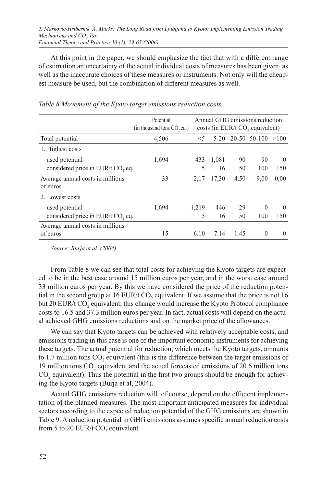At this point in the paper, we should emphasize the fact that with a different range of estimation an uncertainty of the actual individual costs of measures has been given, as well as the inaccurate choices of these measures or instruments. Not only will the cheapest measure be used, but the combination of different measures as well.

|                                              | Potential<br>(in thousand tons CO, eq.) |       |        |      | Annual GHG emissions reduction<br>costs (in EUR/t CO, equivalent) |          |
|----------------------------------------------|-----------------------------------------|-------|--------|------|-------------------------------------------------------------------|----------|
| Total potential                              | 4,506                                   | $<$ 5 | $5-20$ |      | $20-50$ 50-100 $>100$                                             |          |
| 1. Highest costs                             |                                         |       |        |      |                                                                   |          |
| used potential                               | 1,694                                   | 433   | 1,081  | 90   | 90                                                                | $\Omega$ |
| considered price in EUR/t CO, eq.            |                                         | 5     | 16     | 50   | 100                                                               | 150      |
| Average annual costs in millions<br>of euros | 33                                      | 2,17  | 17.30  | 4,50 | 9,00                                                              | 0,00     |
| 2. Lowest costs                              |                                         |       |        |      |                                                                   |          |
| used potential                               | 1,694                                   | 1.219 | 446    | 29   | $\theta$                                                          | $\Omega$ |
| considered price in EUR/t CO, eq.            |                                         | 5     | 16     | 50   | 100                                                               | 150      |
| Average annual costs in millions             |                                         |       |        |      |                                                                   |          |
| of euros                                     | 15                                      | 6.10  | 7.14   | 1.45 | $\theta$                                                          | $\Omega$ |

*Table 8 Movement of the Kyoto target emissions reduction costs*

*Source: Burja et al. (2004).*

From Table 8 we can see that total costs for achieving the Kyoto targets are expected to be in the best case around 15 million euros per year, and in the worst case around 33 million euros per year. By this we have considered the price of the reduction potential in the second group at 16 EUR/t CO<sub>2</sub> equivalent. If we assume that the price is not 16 but 20 EUR/t  $CO<sub>2</sub>$  equivalent, this change would increase the Kyoto Protocol compliance costs to 16.5 and 37.3 million euros per year. In fact, actual costs will depend on the actual achieved GHG emissions reductions and on the market price of the allowances.

We can say that Kyoto targets can be achieved with relatively acceptable costs, and emissions trading in this case is one of the important economic instruments for achieving these targets. The actual potential for reduction, which meets the Kyoto targets, amounts to 1.7 million tons  $CO<sub>2</sub>$  equivalent (this is the difference between the target emissions of 19 million tons  $CO<sub>2</sub>$  equivalent and the actual forecasted emissions of 20.6 million tons CO<sub>2</sub> equivalent). Thus the potential in the first two groups should be enough for achieving the Kyoto targets (Burja et al, 2004).

Actual GHG emissions reduction will, of course, depend on the efficient implementation of the planned measures. The most important anticipated measures for individual sectors according to the expected reduction potential of the GHG emissions are shown in Table 9. A reduction potential in GHG emissions assumes specific annual reduction costs from 5 to 20 EUR/t  $CO$ , equivalent.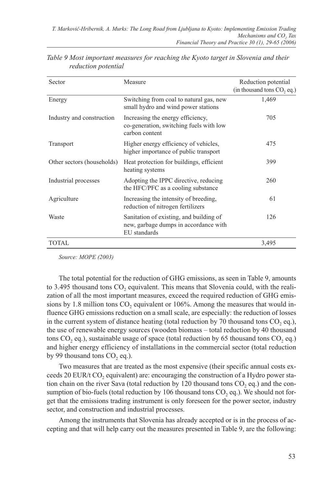| Sector                     | Measure                                                                                          | Reduction potential<br>(in thousand tons CO, eq.) |
|----------------------------|--------------------------------------------------------------------------------------------------|---------------------------------------------------|
| Energy                     | Switching from coal to natural gas, new<br>small hydro and wind power stations                   | 1,469                                             |
| Industry and construction  | Increasing the energy efficiency,<br>co-generation, switching fuels with low<br>carbon content   | 705                                               |
| Transport                  | Higher energy efficiency of vehicles,<br>higher importance of public transport                   | 475                                               |
| Other sectors (households) | Heat protection for buildings, efficient<br>heating systems                                      | 399                                               |
| Industrial processes       | Adopting the IPPC directive, reducing<br>the HFC/PFC as a cooling substance                      | 260                                               |
| Agriculture                | Increasing the intensity of breeding,<br>reduction of nitrogen fertilizers                       | 61                                                |
| Waste                      | Sanitation of existing, and building of<br>new, garbage dumps in accordance with<br>EU standards | 126                                               |
| TOTAL                      |                                                                                                  | 3,495                                             |

| Table 9 Most important measures for reaching the Kyoto target in Slovenia and their |  |  |
|-------------------------------------------------------------------------------------|--|--|
| reduction potential                                                                 |  |  |

*Source: MOPE (2003)*

The total potential for the reduction of GHG emissions, as seen in Table 9, amounts to 3.495 thousand tons CO<sub>2</sub> equivalent. This means that Slovenia could, with the realization of all the most important measures, exceed the required reduction of GHG emissions by 1.8 million tons  $CO<sub>2</sub>$  equivalent or 106%. Among the measures that would influence GHG emissions reduction on a small scale, are especially: the reduction of losses in the current system of distance heating (total reduction by  $70$  thousand tons  $CO$ , eq.), the use of renewable energy sources (wooden biomass – total reduction by 40 thousand tons CO<sub>2</sub> eq.), sustainable usage of space (total reduction by 65 thousand tons  $CO$ <sub>2</sub> eq.) and higher energy efficiency of installations in the commercial sector (total reduction by 99 thousand tons  $CO$ , eq.).

Two measures that are treated as the most expensive (their specific annual costs exceeds 20 EUR/t  $CO<sub>2</sub>$  equivalent) are: encouraging the construction of a Hydro power station chain on the river Sava (total reduction by 120 thousand tons  $CO<sub>2</sub>$  eq.) and the consumption of bio-fuels (total reduction by  $106$  thousand tons  $CO$ , eq.). We should not forget that the emissions trading instrument is only foreseen for the power sector, industry sector, and construction and industrial processes.

Among the instruments that Slovenia has already accepted or is in the process of accepting and that will help carry out the measures presented in Table 9, are the following: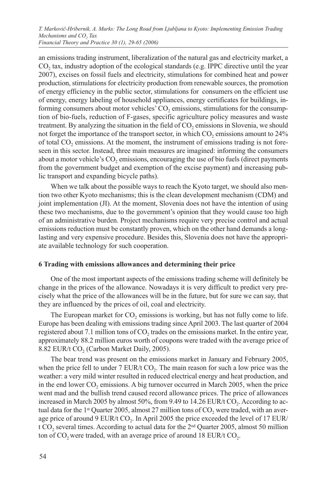an emissions trading instrument, liberalization of the natural gas and electricity market, a CO<sub>2</sub> tax, industry adoption of the ecological standards (e.g. IPPC directive until the year 2007), excises on fossil fuels and electricity, stimulations for combined heat and power production, stimulations for electricity production from renewable sources, the promotion of energy efficiency in the public sector, stimulations for consumers on the efficient use of energy, energy labeling of household appliances, energy certificates for buildings, informing consumers about motor vehicles' CO<sub>2</sub> emissions, stimulations for the consumption of bio-fuels, reduction of F-gases, specific agriculture policy measures and waste treatment. By analyzing the situation in the field of CO<sub>2</sub> emissions in Slovenia, we should not forget the importance of the transport sector, in which  $CO<sub>2</sub>$  emissions amount to  $24\%$ of total  $CO<sub>2</sub>$  emissions. At the moment, the instrument of emissions trading is not foreseen in this sector. Instead, three main measures are imagined: informing the consumers about a motor vehicle's CO<sub>2</sub> emissions, encouraging the use of bio fuels (direct payments from the government budget and exemption of the excise payment) and increasing public transport and expanding bicycle paths).

When we talk about the possible ways to reach the Kyoto target, we should also mention two other Kyoto mechanisms; this is the clean development mechanism (CDM) and joint implementation (JI). At the moment, Slovenia does not have the intention of using these two mechanisms, due to the government's opinion that they would cause too high of an administrative burden. Project mechanisms require very precise control and actual emissions reduction must be constantly proven, which on the other hand demands a longlasting and very expensive procedure. Besides this, Slovenia does not have the appropriate available technology for such cooperation.

#### **6 Trading with emissions allowances and determining their price**

One of the most important aspects of the emissions trading scheme will definitely be change in the prices of the allowance. Nowadays it is very difficult to predict very precisely what the price of the allowances will be in the future, but for sure we can say, that they are influenced by the prices of oil, coal and electricity.

The European market for  $CO<sub>2</sub>$  emissions is working, but has not fully come to life. Europe has been dealing with emissions trading since April 2003. The last quarter of 2004 registered about 7.1 million tons of  $CO<sub>2</sub>$  trades on the emissions market. In the entire year, approximately 88.2 million euros worth of coupons were traded with the average price of 8.82 EUR/t  $CO<sub>2</sub>$  (Carbon Market Daily, 2005).

The bear trend was present on the emissions market in January and February 2005, when the price fell to under  $7 \text{ EUR}/t \text{ CO}_2$ . The main reason for such a low price was the weather: a very mild winter resulted in reduced electrical energy and heat production, and in the end lower CO<sub>2</sub> emissions. A big turnover occurred in March 2005, when the price went mad and the bullish trend caused record allowance prices. The price of allowances increased in March 2005 by almost 50%, from 9.49 to 14.26 EUR/t  $CO<sub>2</sub>$ . According to actual data for the 1<sup>st</sup> Quarter 2005, almost 27 million tons of  $CO<sub>2</sub>$  were traded, with an average price of around 9 EUR/t CO<sub>2</sub>. In April 2005 the price exceeded the level of 17 EUR/ t CO<sub>2</sub> several times. According to actual data for the 2<sup>nd</sup> Quarter 2005, almost 50 million ton of  $CO$ , were traded, with an average price of around 18 EUR/t  $CO<sub>2</sub>$ .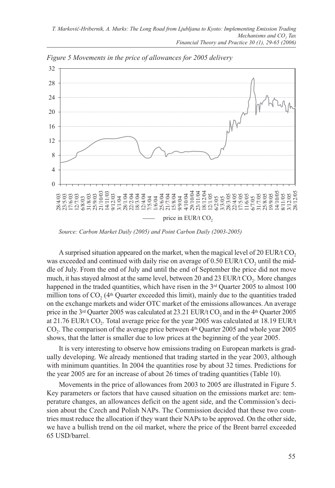

*Figure 5 Movements in the price of allowances for 2005 delivery* 

*Source: Carbon Market Daily (2005) and Point Carbon Daily (2003-2005)*

A surprised situation appeared on the market, when the magical level of 20 EUR/t  $CO<sub>2</sub>$ was exceeded and continued with daily rise on average of  $0.50$  EUR/t CO<sub>2</sub> until the middle of July. From the end of July and until the end of September the price did not move much, it has stayed almost at the same level, between 20 and 23 EUR/t  $CO<sub>2</sub>$ . More changes happened in the traded quantities, which have risen in the  $3<sup>rd</sup>$  Quarter 2005 to almost 100 million tons of  $CO<sub>2</sub>$  (4<sup>th</sup> Quarter exceeded this limit), mainly due to the quantities traded on the exchange markets and wider OTC market of the emissions allowances. An average price in the  $3<sup>rd</sup>$  Quarter 2005 was calculated at 23.21 EUR/t CO<sub>2</sub> and in the  $4<sup>th</sup>$  Quarter 2005 at 21.76 EUR/t CO<sub>2</sub>. Total average price for the year 2005 was calculated at 18.19 EUR/t  $CO<sub>2</sub>$ . The comparison of the average price between  $4<sup>th</sup>$  Quarter 2005 and whole year 2005 shows, that the latter is smaller due to low prices at the beginning of the year 2005.

It is very interesting to observe how emissions trading on European markets is gradually developing. We already mentioned that trading started in the year 2003, although with minimum quantities. In 2004 the quantities rose by about 32 times. Predictions for the year 2005 are for an increase of about 26 times of trading quantities (Table 10).

Movements in the price of allowances from 2003 to 2005 are illustrated in Figure 5. Key parameters or factors that have caused situation on the emissions market are: temperature changes, an allowances deficit on the agent side, and the Commission's decision about the Czech and Polish NAPs. The Commission decided that these two countries must reduce the allocation if they want their NAPs to be approved. On the other side, we have a bullish trend on the oil market, where the price of the Brent barrel exceeded 65 USD/barrel.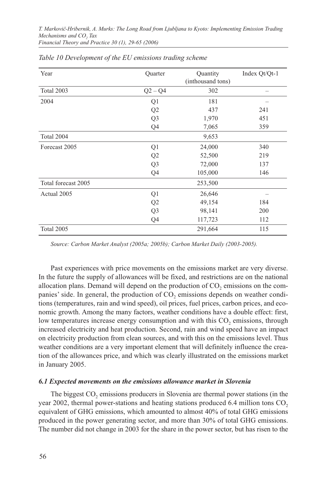| Year                | Quarter        | Quantity<br>(inthousand tons) | Index Qt/Qt-1 |
|---------------------|----------------|-------------------------------|---------------|
| Total 2003          | $Q2 - Q4$      | 302                           |               |
| 2004                | Q <sub>1</sub> | 181                           |               |
|                     | Q2             | 437                           | 241           |
|                     | Q <sub>3</sub> | 1,970                         | 451           |
|                     | Q4             | 7,065                         | 359           |
| Total 2004          |                | 9,653                         |               |
| Forecast 2005       | Q1             | 24,000                        | 340           |
|                     | Q2             | 52,500                        | 219           |
|                     | Q <sub>3</sub> | 72,000                        | 137           |
|                     | Q4             | 105,000                       | 146           |
| Total forecast 2005 |                | 253,500                       |               |
| Actual 2005         | Q1             | 26,646                        |               |
|                     | Q <sub>2</sub> | 49,154                        | 184           |
|                     | Q <sub>3</sub> | 98,141                        | 200           |
|                     | Q4             | 117,723                       | 112           |
| Total 2005          |                | 291,664                       | 115           |

| Table 10 Development of the EU emissions trading scheme |  |  |  |
|---------------------------------------------------------|--|--|--|
|---------------------------------------------------------|--|--|--|

*Source: Carbon Market Analyst (2005a; 2005b); Carbon Market Daily (2003-2005).*

Past experiences with price movements on the emissions market are very diverse. In the future the supply of allowances will be fixed, and restrictions are on the national allocation plans. Demand will depend on the production of  $CO<sub>2</sub>$  emissions on the companies' side. In general, the production of CO<sub>2</sub> emissions depends on weather conditions (temperatures, rain and wind speed), oil prices, fuel prices, carbon prices, and economic growth. Among the many factors, weather conditions have a double effect: first, low temperatures increase energy consumption and with this CO<sub>2</sub> emissions, through increased electricity and heat production. Second, rain and wind speed have an impact on electricity production from clean sources, and with this on the emissions level. Thus weather conditions are a very important element that will definitely influence the creation of the allowances price, and which was clearly illustrated on the emissions market in January 2005.

#### *6.1 Expected movements on the emissions allowance market in Slovenia*

The biggest CO<sub>2</sub> emissions producers in Slovenia are thermal power stations (in the year 2002, thermal power-stations and heating stations produced 6.4 million tons CO<sub>2</sub> equivalent of GHG emissions, which amounted to almost 40% of total GHG emissions produced in the power generating sector, and more than 30% of total GHG emissions. The number did not change in 2003 for the share in the power sector, but has risen to the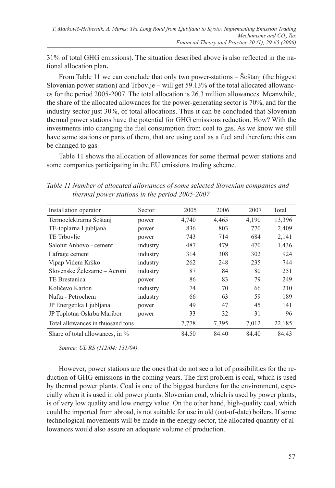31% of total GHG emissions). The situation described above is also reflected in the national allocation plan**.** 

From Table 11 we can conclude that only two power-stations – Šoštanj (the biggest Slovenian power station) and Trbovlje – will get  $59.13\%$  of the total allocated allowances for the period 2005-2007. The total allocation is 26.3 million allowances. Meanwhile, the share of the allocated allowances for the power-generating sector is 70%, and for the industry sector just 30%, of total allocations. Thus it can be concluded that Slovenian thermal power stations have the potential for GHG emissions reduction. How? With the investments into changing the fuel consumption from coal to gas. As we know we still have some stations or parts of them, that are using coal as a fuel and therefore this can be changed to gas.

Table 11 shows the allocation of allowances for some thermal power stations and some companies participating in the EU emissions trading scheme.

*Table 11 Number of allocated allowances of some selected Slovenian companies and thermal power stations in the period 2005-2007*

| Installation operator              | Sector   | 2005  | 2006  | 2007  | Total  |
|------------------------------------|----------|-------|-------|-------|--------|
|                                    |          |       |       |       |        |
| Termoelektrarna Šoštanj            | power    | 4,740 | 4,465 | 4,190 | 13,396 |
| TE-toplarna Ljubljana              | power    | 836   | 803   | 770   | 2,409  |
| TE Trbovlje                        | power    | 743   | 714   | 684   | 2,141  |
| Salonit Anhovo - cement            | industry | 487   | 479   | 470   | 1,436  |
| Lafrage cement                     | industry | 314   | 308   | 302   | 924    |
| Vipap Videm Krško                  | industry | 262   | 248   | 235   | 744    |
| Slovenske Železarne – Acroni       | industry | 87    | 84    | 80    | 251    |
| TE Brestanica                      | power    | 86    | 83    | 79    | 249    |
| Količevo Karton                    | industry | 74    | 70    | 66    | 210    |
| Nafta - Petrochem                  | industry | 66    | 63    | 59    | 189    |
| JP Energetika Ljubljana            | power    | 49    | 47    | 45    | 141    |
| JP Toplotna Oskrba Maribor         | power    | 33    | 32    | 31    | 96     |
| Total allowances in thuosand tons  |          | 7,778 | 7,395 | 7,012 | 22,185 |
| Share of total allowances, in $\%$ |          | 84.50 | 84.40 | 84.40 | 84.43  |

*Source: UL RS (112/04; 131/04).*

However, power stations are the ones that do not see a lot of possibilities for the reduction of GHG emissions in the coming years. The first problem is coal, which is used by thermal power plants. Coal is one of the biggest burdens for the environment, especially when it is used in old power plants. Slovenian coal, which is used by power plants, is of very low quality and low energy value. On the other hand, high-quality coal, which could be imported from abroad, is not suitable for use in old (out-of-date) boilers. If some technological movements will be made in the energy sector, the allocated quantity of allowances would also assure an adequate volume of production.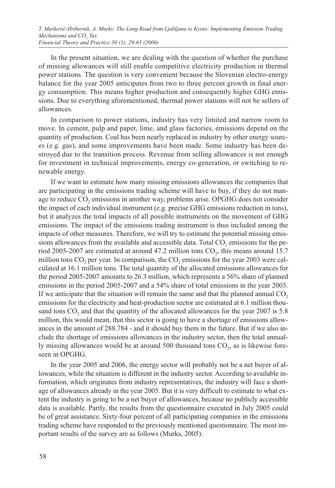In the present situation, we are dealing with the question of whether the purchase of missing allowances will still enable competitive electricity production in thermal power stations. The question is very convenient because the Slovenian electro-energy balance for the year 2005 anticipates from two to three percent growth in final energy consumption. This means higher production and consequently higher GHG emissions. Due to everything aforementioned, thermal power stations will not be sellers of allowances.

In comparison to power stations, industry has very limited and narrow room to move. In cement, pulp and paper, lime, and glass factories, emissions depend on the quantity of production. Coal has been nearly replaced in industry by other energy sources (e.g. gas), and some improvements have been made. Some industry has been destroyed due to the transition process. Revenue from selling allowances is not enough for investment in technical improvements, energy co-generation, or switching to renewable energy.

If we want to estimate how many missing emissions allowances the companies that are participating in the emissions trading scheme will have to buy, if they do not manage to reduce CO<sub>2</sub> emissions in another way, problems arise. OPGHG does not consider the impact of each individual instrument (e.g. precise GHG emissions reduction in tons), but it analyzes the total impacts of all possible instruments on the movement of GHG emissions. The impact of the emissions trading instrument is thus included among the impacts of other measures. Therefore, we will try to estimate the potential missing emissions allowances from the available and accessible data. Total CO<sub>2</sub> emissions for the period 2005-2007 are estimated at around 47.2 million tons  $CO<sub>2</sub>$ , this means around 15.7 million tons  $CO<sub>2</sub>$  per year. In comparison, the  $CO<sub>2</sub>$  emissions for the year 2003 were calculated at 16.1 million tons. The total quantity of the allocated emissions allowances for the period 2005-2007 amounts to 26.3 million, which represents a 56% share of planned emissions in the period 2005-2007 and a 54% share of total emissions in the year 2003. If we anticipate that the situation will remain the same and that the planned annual  $CO<sub>2</sub>$ emissions for the electricity and heat-production sector are estimated at 6.1 million thousand tons CO<sub>2</sub> and that the quantity of the allocated allowances for the year 2007 is 5.8 million, this would mean, that this sector is going to have a shortage of emissions allowances in the amount of 288.784 - and it should buy them in the future. But if we also include the shortage of emissions allowances in the industry sector, then the total annually missing allowances would be at around 500 thousand tons  $CO<sub>2</sub>$ , as is likewise foreseen in OPGHG.

In the year 2005 and 2006, the energy sector will probably not be a net buyer of allowances, while the situation is different in the industry sector. According to available information, which originates from industry representatives, the industry will face a shortage of allowances already in the year 2005. But it is very difficult to estimate to what extent the industry is going to be a net buyer of allowances, because no publicly accessible data is available. Partly, the results from the questionnaire executed in July 2005 could be of great assistance. Sixty-four percent of all participating companies in the emissions trading scheme have responded to the previously mentioned questionnaire. The most important results of the survey are as follows (Murks, 2005):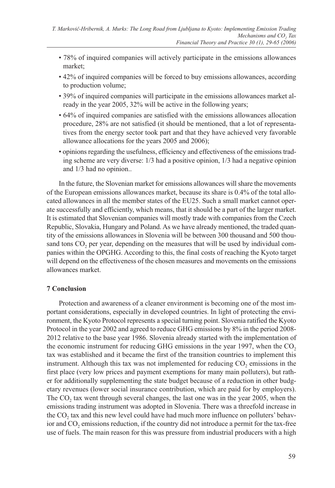- 78% of inquired companies will actively participate in the emissions allowances market;
- 42% of inquired companies will be forced to buy emissions allowances, according to production volume;
- 39% of inquired companies will participate in the emissions allowances market already in the year 2005, 32% will be active in the following years;
- 64% of inquired companies are satisfied with the emissions allowances allocation procedure, 28% are not satisfied (it should be mentioned, that a lot of representatives from the energy sector took part and that they have achieved very favorable allowance allocations for the years 2005 and 2006);
- opinions regarding the usefulness, efficiency and effectiveness of the emissions trading scheme are very diverse: 1/3 had a positive opinion, 1/3 had a negative opinion and 1/3 had no opinion..

In the future, the Slovenian market for emissions allowances will share the movements of the European emissions allowances market, because its share is 0.4% of the total allocated allowances in all the member states of the EU25. Such a small market cannot operate successfully and efficiently, which means, that it should be a part of the larger market. It is estimated that Slovenian companies will mostly trade with companies from the Czech Republic, Slovakia, Hungary and Poland. As we have already mentioned, the traded quantity of the emissions allowances in Slovenia will be between 300 thousand and 500 thousand tons CO<sub>2</sub> per year, depending on the measures that will be used by individual companies within the OPGHG. According to this, the final costs of reaching the Kyoto target will depend on the effectiveness of the chosen measures and movements on the emissions allowances market.

# **7 Conclusion**

Protection and awareness of a cleaner environment is becoming one of the most important considerations, especially in developed countries. In light of protecting the environment, the Kyoto Protocol represents a special turning point. Slovenia ratified the Kyoto Protocol in the year 2002 and agreed to reduce GHG emissions by 8% in the period 2008- 2012 relative to the base year 1986. Slovenia already started with the implementation of the economic instrument for reducing GHG emissions in the year 1997, when the  $CO<sub>2</sub>$ tax was established and it became the first of the transition countries to implement this instrument. Although this tax was not implemented for reducing  $CO<sub>2</sub>$  emissions in the first place (very low prices and payment exemptions for many main polluters), but rather for additionally supplementing the state budget because of a reduction in other budgetary revenues (lower social insurance contribution, which are paid for by employers). The CO<sub>2</sub> tax went through several changes, the last one was in the year 2005, when the emissions trading instrument was adopted in Slovenia. There was a threefold increase in the  $CO<sub>2</sub>$  tax and this new level could have had much more influence on polluters' behavior and  $CO<sub>2</sub>$  emissions reduction, if the country did not introduce a permit for the tax-free use of fuels. The main reason for this was pressure from industrial producers with a high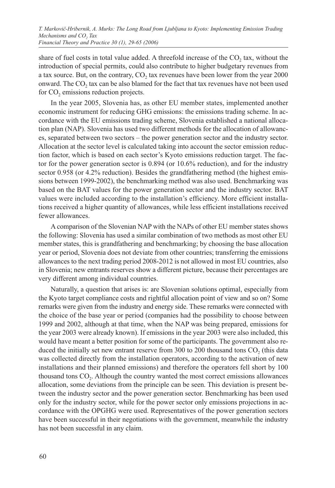share of fuel costs in total value added. A threefold increase of the  $CO$ , tax, without the introduction of special permits, could also contribute to higher budgetary revenues from a tax source. But, on the contrary,  $CO<sub>2</sub>$  tax revenues have been lower from the year 2000 onward. The CO<sub>2</sub> tax can be also blamed for the fact that tax revenues have not been used for  $CO<sub>2</sub>$  emissions reduction projects.

In the year 2005, Slovenia has, as other EU member states, implemented another economic instrument for reducing GHG emissions: the emissions trading scheme. In accordance with the EU emissions trading scheme, Slovenia established a national allocation plan (NAP). Slovenia has used two different methods for the allocation of allowances, separated between two sectors – the power generation sector and the industry sector. Allocation at the sector level is calculated taking into account the sector emission reduction factor, which is based on each sector's Kyoto emissions reduction target. The factor for the power generation sector is 0.894 (or 10.6% reduction), and for the industry sector 0.958 (or 4.2% reduction). Besides the grandfathering method (the highest emissions between 1999-2002), the benchmarking method was also used. Benchmarking was based on the BAT values for the power generation sector and the industry sector. BAT values were included according to the installation's efficiency. More efficient installations received a higher quantity of allowances, while less efficient installations received fewer allowances.

A comparison of the Slovenian NAP with the NAPs of other EU member states shows the following: Slovenia has used a similar combination of two methods as most other EU member states, this is grandfathering and benchmarking; by choosing the base allocation year or period, Slovenia does not deviate from other countries; transferring the emissions allowances to the next trading period 2008-2012 is not allowed in most EU countries, also in Slovenia; new entrants reserves show a different picture, because their percentages are very different among individual countries.

Naturally, a question that arises is: are Slovenian solutions optimal, especially from the Kyoto target compliance costs and rightful allocation point of view and so on? Some remarks were given from the industry and energy side. These remarks were connected with the choice of the base year or period (companies had the possibility to choose between 1999 and 2002, although at that time, when the NAP was being prepared, emissions for the year 2003 were already known). If emissions in the year 2003 were also included, this would have meant a better position for some of the participants. The government also reduced the initially set new entrant reserve from  $300$  to  $200$  thousand tons  $CO<sub>2</sub>$  (this data was collected directly from the installation operators, according to the activation of new installations and their planned emissions) and therefore the operators fell short by 100 thousand tons CO<sub>2</sub>. Although the country wanted the most correct emissions allowances allocation, some deviations from the principle can be seen. This deviation is present between the industry sector and the power generation sector. Benchmarking has been used only for the industry sector, while for the power sector only emissions projections in accordance with the OPGHG were used. Representatives of the power generation sectors have been successful in their negotiations with the government, meanwhile the industry has not been successful in any claim.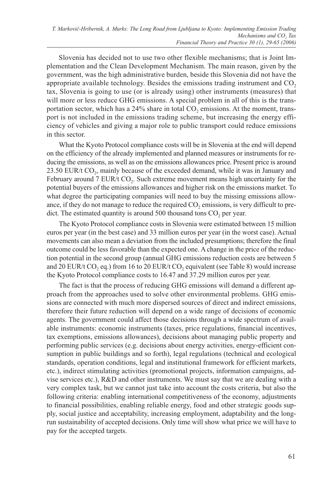Slovenia has decided not to use two other flexible mechanisms; that is Joint Implementation and the Clean Development Mechanism. The main reason, given by the government, was the high administrative burden, beside this Slovenia did not have the appropriate available technology. Besides the emissions trading instrument and  $CO<sub>2</sub>$ tax, Slovenia is going to use (or is already using) other instruments (measures) that will more or less reduce GHG emissions. A special problem in all of this is the transportation sector, which has a  $24\%$  share in total CO<sub>2</sub> emissions. At the moment, transport is not included in the emissions trading scheme, but increasing the energy efficiency of vehicles and giving a major role to public transport could reduce emissions in this sector.

What the Kyoto Protocol compliance costs will be in Slovenia at the end will depend on the efficiency of the already implemented and planned measures or instruments for reducing the emissions, as well as on the emissions allowances price. Present price is around 23.50 EUR/t CO<sub>2</sub>, mainly because of the exceeded demand, while it was in January and February around  $7 \text{ EUR/t CO}_2$ . Such extreme movement means high uncertainty for the potential buyers of the emissions allowances and higher risk on the emissions market. To what degree the participating companies will need to buy the missing emissions allowance, if they do not manage to reduce the required  $CO<sub>2</sub>$  emissions, is very difficult to predict. The estimated quantity is around 500 thousand tons  $CO<sub>2</sub>$  per year.

The Kyoto Protocol compliance costs in Slovenia were estimated between 15 million euros per year (in the best case) and 33 million euros per year (in the worst case). Actual movements can also mean a deviation from the included presumptions; therefore the final outcome could be less favorable than the expected one. A change in the price of the reduction potential in the second group (annual GHG emissions reduction costs are between 5 and 20 EUR/t CO<sub>2</sub> eq.) from 16 to 20 EUR/t CO<sub>2</sub> equivalent (see Table 8) would increase the Kyoto Protocol compliance costs to 16.47 and 37.29 million euros per year.

The fact is that the process of reducing GHG emissions will demand a different approach from the approaches used to solve other environmental problems. GHG emissions are connected with much more dispersed sources of direct and indirect emissions, therefore their future reduction will depend on a wide range of decisions of economic agents. The government could affect those decisions through a wide spectrum of available instruments: economic instruments (taxes, price regulations, financial incentives, tax exemptions, emissions allowances), decisions about managing public property and performing public services (e.g. decisions about energy activities, energy-efficient consumption in public buildings and so forth), legal regulations (technical and ecological standards, operation conditions, legal and institutional framework for efficient markets, etc.), indirect stimulating activities (promotional projects, information campaigns, advise services etc.), R&D and other instruments. We must say that we are dealing with a very complex task, but we cannot just take into account the costs criteria, but also the following criteria: enabling international competitiveness of the economy, adjustments to financial possibilities, enabling reliable energy, food and other strategic goods supply, social justice and acceptability, increasing employment, adaptability and the longrun sustainability of accepted decisions. Only time will show what price we will have to pay for the accepted targets.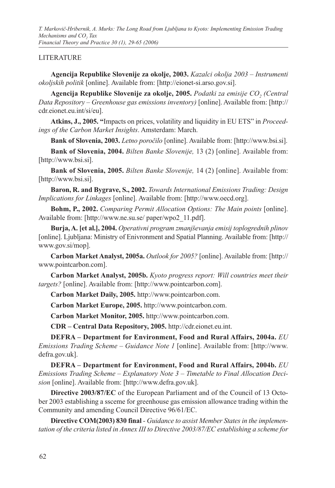*T. Markovič-Hribernik, A. Murks: The Long Road from Ljubljana to Kyoto: Implementing Emission Trading Mechanisms and CO<sub>2</sub> Tax Financial Theory and Practice 30 (1), 29-65 (2006)*

### **LITERATURE**

**Agencija Republike Slovenije za okolje, 2003.** *Kazalci okolja 2003 – Instrumenti okoljskih politik* [online]. Available from: [http://eionet-si.arso.gov.si].

Agencija Republike Slovenije za okolje, 2005. Podatki za emisije CO<sub>2</sub> (Central *Data Repository – Greenhouse gas emissions inventory)* [online]. Available from: [http:// cdr.eionet.eu.int/si/eu].

**Atkins, J., 2005. "**Impacts on prices, volatility and liquidity in EU ETS" in *Proceedings of the Carbon Market Insights*. Amsterdam: March.

**Bank of Slovenia, 2003.** *Letno poročilo* [online]. Available from: [http://www.bsi.si].

**Bank of Slovenia, 2004.** *Bilten Banke Slovenije,* 13 (2) [online]. Available from: [http://www.bsi.si].

**Bank of Slovenia, 2005.** *Bilten Banke Slovenije,* 14 (2) [online]. Available from: [http://www.bsi.si].

**Baron, R. and Bygrave, S., 2002.** *Towards International Emissions Trading: Design Implications for Linkages* [online]. Available from: [http://www.oecd.org].

**Bohm, P., 2002.** *Comparing Permit Allocation Options: The Main points* [online]. Available from: [http://www.ne.su.se/ paper/wpo2\_11.pdf].

**Burja, A. [et al.], 2004.** *Operativni program zmanjševanja emisij toplogrednih plinov*  [online]. Ljubljana: Ministry of Enivronment and Spatial Planning. Available from: [http:// www.gov.si/mop].

**Carbon Market Analyst, 2005a.** *Outlook for 2005?* [online]. Available from: [http:// www.pointcarbon.com].

**Carbon Market Analyst, 2005b.** *Kyoto progress report: Will countries meet their targets?* [online]. Available from: [http://www.pointcarbon.com].

**Carbon Market Daily, 2005.** http://www.pointcarbon.com.

**Carbon Market Europe, 2005.** http://www.pointcarbon.com.

**Carbon Market Monitor, 2005.** http://www.pointcarbon.com.

**CDR – Central Data Repository, 2005.** http://cdr.eionet.eu.int.

**DEFRA – Department for Environment, Food and Rural Affairs, 2004a.** *EU Emissions Trading Scheme – Guidance Note 1* [online]. Available from: [http://www. defra.gov.uk].

**DEFRA – Department for Environment, Food and Rural Affairs, 2004b.** *EU Emissions Trading Scheme – Explanatory Note 3 – Timetable to Final Allocation Decision* [online]. Available from: [http://www.defra.gov.uk].

**Directive 2003/87/EC** of the European Parliament and of the Council of 13 October 2003 establishing a ssceme for greenhouse gas emission allowance trading within the Community and amending Council Directive 96/61/EC.

**Directive COM(2003) 830 final** *- Guidance to assist Member States in the implementation of the criteria listed in Annex III to Directive 2003/87/EC establishing a scheme for*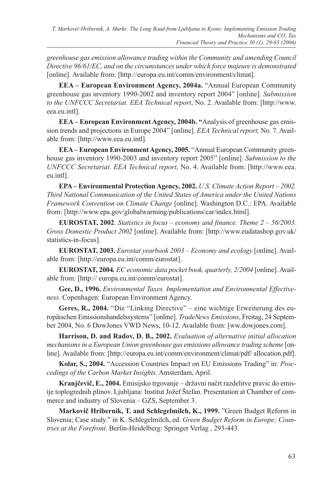*greenhouse gas emission allowance trading within the Community and amending Council Directive 96/61/EC, and on the circumstances under which force majeure is demonstrated*  [online]. Available from: [http://europa.eu.int/comm/environment/climat].

**EEA – European Environment Agency, 2004a.** "Annual European Community greenhouse gas inventory 1990-2002 and inventory report 2004" [online]*. Submission to the UNFCCC Secretariat. EEA Technical report*, No. 2. Available from: [http://www. eea.eu.intl].

**EEA – European Environment Agency, 2004b. "**Analysis of greenhouse gas emission trends and projections in Europe 2004" [online]. *EEA Technical report,* No. 7. Available from: [http://www.eea.eu.intl].

**EEA – European Environment Agency, 2005.** "Annual European Community greenhouse gas inventory 1990-2003 and inventory report 2005" [online]. *Submission to the UNFCCC Secretariat. EEA Technical report,* No. 4. Available from: [http://www.eea. eu.intl].

**EPA – Environmental Protection Agency, 2002.** *U.S. Climate Action Report – 2002. Third National Communication of the United States of America under the United Nations Framework Convention on Climate Change* [online]. Washington D.C.: EPA. Available from: [http://www.epa.gov/globalwarming/publications/car/index.html].

**EUROSTAT, 2002**. *Statistics in focus – economy and finance. Theme 2 – 56/2003. Gross Domestic Product 2002* [online]. Available from: [http://www.eudatashop.gov.uk/ statistics-in-focus].

**EUROSTAT, 2003.** *Eurostat yearbook 2003 – Economy and ecology* [online]. Available from: [http://europa.eu.int/comm/eurostat].

**EUROSTAT, 2004***. EC economic data pocket book, quarterly, 2/2004* [online]. Available from: [http:// europa.eu.int/comm/eurostat].

**Gee, D., 1996.** *Environmental Taxes. Implementation and Environmental Effectiveness*. Copenhagen: European Environment Agency.

**Geres, R., 2004.** "Die "Linking Directive" – eine wichtige Erweiterung des europäischen Emissionshandelssystems" [online]. *TradeNews Emissions*, Freitag, 24 September 2004, No. 6 DowJones VWD News, 10-12. Available from: [ww.dowjones.com].

**Harrison, D. and Radov, D. B., 2002.** *Evaluation of alternative initial allocation mechanisms in a European Union greenhouse gas emissions allowance trading scheme* [online]. Available from: [http://europa.eu.int/comm/environment/climat/pdf/ allocation.pdf].

**Kolar, S., 2004.** "Accession Countries Impact on EU Emissions Trading" in: *Proccedings of the Carbon Market Insights.* Amsterdam, April.

**Kranjčevič, E., 2004.** Emisijsko trgovanje – državni načrt razdelitve pravic do emisije toplogrednih plinov. Ljubljana: Institut Jožef Štefan. Presentation at Chamber of commerce and industry of Slovenia – GZS, September 3.

**Markovič Hribernik, T. and Schlegelmilch, K., 1999.** "Green Budget Reform in Slovenia; Case study." in K. Schlegelmilch, ed. *Green Budget Reform in Europe; Countries at the Forefront*. Berlin-Heidelberg: Springer Verlag , 293-443.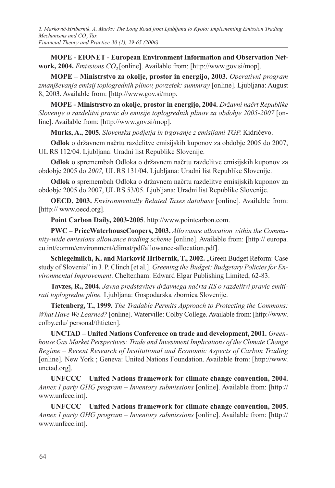**MOPE - EIONET - European Environment Information and Observation Network, 2004.** *Emissions CO*<sub>2</sub> [online]. Available from: [http://www.gov.si/mop].

**MOPE – Ministrstvo za okolje, prostor in energijo, 2003.** *Operativni program zmanjševanja emisij toplogrednih plinov, povzetek: summray* [online]. Ljubljana: August 8, 2003. Available from: [http://www.gov.si/mop.

**MOPE - Ministrstvo za okolje, prostor in energijo, 2004.** *Državni načrt Republike Slovenije o razdelitvi pravic do emisije toplogrednih plinov za obdobje 2005-2007* [online]. Available from: [http://www.gov.si/mop].

**Murks, A., 2005.** *Slovenska podjetja in trgovanje z emisijami TGP.* Kidričevo.

**Odlok** o državnem načrtu razdelitve emisijskih kuponov za obdobje 2005 do 2007, UL RS 112/04. Ljubljana: Uradni list Republike Slovenije.

**Odlok** o spremembah Odloka o državnem načrtu razdelitve emisijskih kuponov za obdobje 2005 do *2007,* UL RS 131/04. Ljubljana: Uradni list Republike Slovenije.

**Odlok** o spremembah Odloka o državnem načrtu razdelitve emisijskih kuponov za obdobje 2005 do 2007, UL RS 53/05. Ljubljana: Uradni list Republike Slovenije.

**OECD, 2003.** *Environmentally Related Taxes database* [online]. Available from: [http:// www.oecd.org].

**Point Carbon Daily, 2003-2005**. http://www.pointcarbon.com.

**PWC – PriceWaterhouseCoopers, 2003.** *Allowance allocation within the Community-wide emissions allowance trading scheme* [online]. Available from: [http:// europa. eu.int/comm/environment/climat/pdf/allowance-allocation.pdf].

**Schlegelmilch, K. and Markovič Hribernik, T., 2002.** "Green Budget Reform: Case study of Slovenia" in J. P. Clinch [et al.]. *Greening the Budget: Budgetary Policies for Environmental Improvement*. Cheltenham: Edward Elgar Publishing Limited, 62-83.

**Tavzes, R., 2004.** *Javna predstavitev državnega načrta RS o razdelitvi pravic emitirati toplogredne pline.* Ljubljana: Gospodarska zbornica Slovenije.

**Tietenberg, T., 1999.** *The Tradable Permits Approach to Protecting the Commons: What Have We Learned?* [online]. Waterville: Colby College. Available from: [http://www. colby.edu/ personal/thtieten].

**UNCTAD – United Nations Conference on trade and development, 2001.** *Greenhouse Gas Market Perspectives: Trade and Investment Implications of the Climate Change Regime – Recent Research of Institutional and Economic Aspects of Carbon Trading*  [online]*.* New York ; Geneva: United Nations Foundation. Available from: [http://www. unctad.org].

**UNFCCC – United Nations framework for climate change convention, 2004.** *Annex I party GHG program – Inventory submissions* [online]. Available from: [http:// www.unfccc.int].

**UNFCCC – United Nations framework for climate change convention, 2005.** *Annex I party GHG program – Inventory submissions* [online]. Available from: [http:// www.unfccc.int].